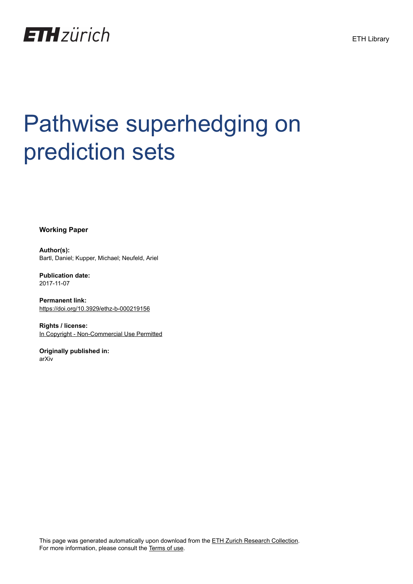

# Pathwise superhedging on prediction sets

**Working Paper**

**Author(s):** Bartl, Daniel; Kupper, Michael; Neufeld, Ariel

**Publication date:** 2017-11-07

**Permanent link:** <https://doi.org/10.3929/ethz-b-000219156>

**Rights / license:** [In Copyright - Non-Commercial Use Permitted](http://rightsstatements.org/page/InC-NC/1.0/)

**Originally published in:** arXiv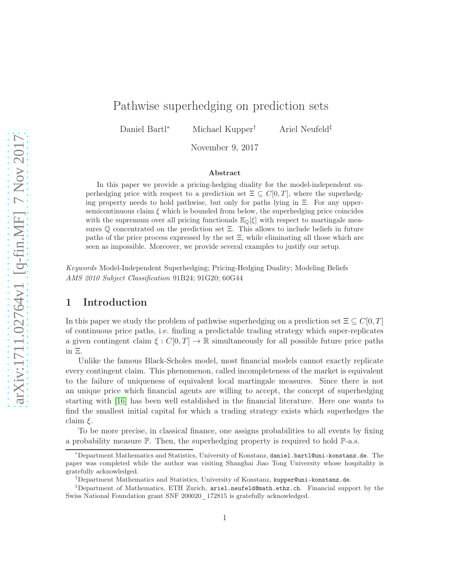## Pathwise superhedging on prediction sets

Daniel Bartl<sup>∗</sup> Michael Kupper† Ariel Neufeld‡

November 9, 2017

#### Abstract

In this paper we provide a pricing-hedging duality for the model-independent superhedging price with respect to a prediction set  $\Xi \subseteq C[0,T]$ , where the superhedging property needs to hold pathwise, but only for paths lying in Ξ. For any uppersemicontinuous claim  $\xi$  which is bounded from below, the superhedging price coincides with the supremum over all pricing functionals  $\mathbb{E}_{\mathbb{Q}}[\xi]$  with respect to martingale measures Q concentrated on the prediction set Ξ. This allows to include beliefs in future paths of the price process expressed by the set Ξ, while eliminating all those which are seen as impossible. Moreover, we provide several examples to justify our setup.

Keywords Model-Independent Superhedging; Pricing-Hedging Duality; Modeling Beliefs AMS 2010 Subject Classification 91B24; 91G20; 60G44

### 1 Introduction

In this paper we study the problem of pathwise superhedging on a prediction set  $\Xi \subseteq C[0, T]$ of continuous price paths, i.e. finding a predictable trading strategy which super-replicates a given contingent claim  $\xi : C[0,T] \to \mathbb{R}$  simultaneously for all possible future price paths in Ξ.

Unlike the famous Black-Scholes model, most financial models cannot exactly replicate every contingent claim. This phenomenon, called incompleteness of the market is equivalent to the failure of uniqueness of equivalent local martingale measures. Since there is not an unique price which financial agents are willing to accept, the concept of superhedging starting with [\[16\]](#page-20-0) has been well established in the financial literature. Here one wants to find the smallest initial capital for which a trading strategy exists which superhedges the claim  $\xi$ .

To be more precise, in classical finance, one assigns probabilities to all events by fixing a probability measure  $\mathbb{P}$ . Then, the superhedging property is required to hold  $\mathbb{P}$ -a.s.

<sup>∗</sup>Department Mathematics and Statistics, University of Konstanz, daniel.bartl@uni-konstanz.de. The paper was completed while the author was visiting Shanghai Jiao Tong University whose hospitality is gratefully acknowledged.

<sup>†</sup>Department Mathematics and Statistics, University of Konstanz, kupper@uni-konstanz.de.

 $\textsuperscript{4}$ Department of Mathematics, ETH Zurich, ariel.neufeld@math.ethz.ch. Financial support by the Swiss National Foundation grant SNF 200020\_172815 is gratefully acknowledged.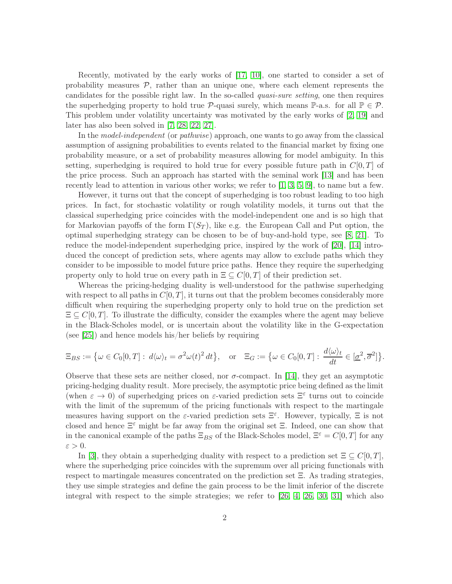Recently, motivated by the early works of [\[17,](#page-20-1) [10\]](#page-20-2), one started to consider a set of probability measures  $P$ , rather than an unique one, where each element represents the candidates for the possible right law. In the so-called quasi-sure setting, one then requires the superhedging property to hold true  $\mathcal{P}\text{-quasi surely, which means }P\text{-a.s.}$  for all  $\mathbb{P}\in\mathcal{P}$ . This problem under volatility uncertainty was motivated by the early works of [\[2,](#page-19-0) [19\]](#page-20-3) and later has also been solved in [\[7,](#page-19-1) [28,](#page-20-4) [22,](#page-20-5) [27\]](#page-20-6).

In the *model-independent* (or *pathwise*) approach, one wants to go away from the classical assumption of assigning probabilities to events related to the financial market by fixing one probability measure, or a set of probability measures allowing for model ambiguity. In this setting, superhedging is required to hold true for every possible future path in  $C[0, T]$  of the price process. Such an approach has started with the seminal work [\[13\]](#page-20-7) and has been recently lead to attention in various other works; we refer to  $[1, 3, 5, 9]$  $[1, 3, 5, 9]$  $[1, 3, 5, 9]$  $[1, 3, 5, 9]$ , to name but a few.

However, it turns out that the concept of superhedging is too robust leading to too high prices. In fact, for stochastic volatility or rough volatility models, it turns out that the classical superhedging price coincides with the model-independent one and is so high that for Markovian payoffs of the form  $\Gamma(S_T)$ , like e.g. the European Call and Put option, the optimal superhedging strategy can be chosen to be of buy-and-hold type, see [\[8,](#page-19-6) [21\]](#page-20-8). To reduce the model-independent superhedging price, inspired by the work of [\[20\]](#page-20-9), [\[14\]](#page-20-10) introduced the concept of prediction sets, where agents may allow to exclude paths which they consider to be impossible to model future price paths. Hence they require the superhedging property only to hold true on every path in  $\Xi \subseteq C[0,T]$  of their prediction set.

Whereas the pricing-hedging duality is well-understood for the pathwise superhedging with respect to all paths in  $C[0, T]$ , it turns out that the problem becomes considerably more difficult when requiring the superhedging property only to hold true on the prediction set  $\Xi \subseteq C[0,T]$ . To illustrate the difficulty, consider the examples where the agent may believe in the Black-Scholes model, or is uncertain about the volatility like in the G-expectation (see [\[25\]](#page-20-11)) and hence models his/her beliefs by requiring

$$
\Xi_{BS} := \left\{ \omega \in C_0[0,T] : d\langle \omega \rangle_t = \sigma^2 \omega(t)^2 dt \right\}, \quad \text{or} \quad \Xi_G := \left\{ \omega \in C_0[0,T] : \frac{d\langle \omega \rangle_t}{dt} \in [\underline{\sigma}^2, \overline{\sigma}^2] \right\}.
$$

Observe that these sets are neither closed, nor  $\sigma$ -compact. In [\[14\]](#page-20-10), they get an asymptotic pricing-hedging duality result. More precisely, the asymptotic price being defined as the limit (when  $\varepsilon \to 0$ ) of superhedging prices on  $\varepsilon$ -varied prediction sets  $\Xi^{\varepsilon}$  turns out to coincide with the limit of the supremum of the pricing functionals with respect to the martingale measures having support on the  $\varepsilon$ -varied prediction sets  $\Xi^{\varepsilon}$ . However, typically,  $\Xi$  is not closed and hence  $\Xi^{\varepsilon}$  might be far away from the original set  $\Xi$ . Indeed, one can show that in the canonical example of the paths  $\Xi_{BS}$  of the Black-Scholes model,  $\Xi^{\varepsilon} = C[0, T]$  for any  $\varepsilon > 0$ .

In [\[3\]](#page-19-3), they obtain a superhedging duality with respect to a prediction set  $\Xi \subseteq C[0,T]$ , where the superhedging price coincides with the supremum over all pricing functionals with respect to martingale measures concentrated on the prediction set Ξ. As trading strategies, they use simple strategies and define the gain process to be the limit inferior of the discrete integral with respect to the simple strategies; we refer to [\[26,](#page-20-12) [4,](#page-19-7) [26,](#page-20-12) [30,](#page-21-0) [31\]](#page-21-1) which also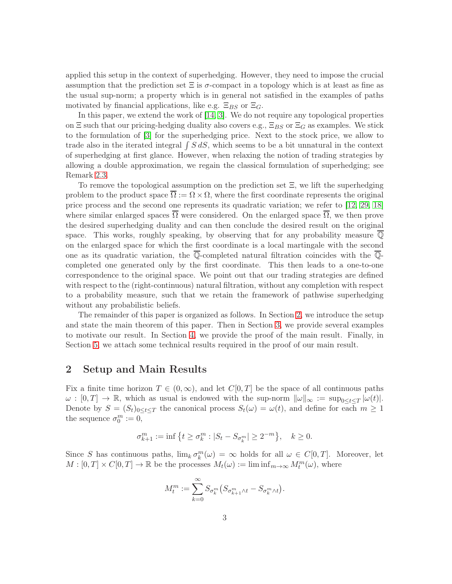applied this setup in the context of superhedging. However, they need to impose the crucial assumption that the prediction set  $\Xi$  is  $\sigma$ -compact in a topology which is at least as fine as the usual sup-norm; a property which is in general not satisfied in the examples of paths motivated by financial applications, like e.g.  $\Xi_{BS}$  or  $\Xi_{G}$ .

In this paper, we extend the work of [\[14,](#page-20-10) [3\]](#page-19-3). We do not require any topological properties on  $\Xi$  such that our pricing-hedging duality also covers e.g.,  $\Xi_{BS}$  or  $\Xi_G$  as examples. We stick to the formulation of [\[3\]](#page-19-3) for the superhedging price. Next to the stock price, we allow to trade also in the iterated integral  $\int S dS$ , which seems to be a bit unnatural in the context of superhedging at first glance. However, when relaxing the notion of trading strategies by allowing a double approximation, we regain the classical formulation of superhedging; see Remark [2.3.](#page-5-0)

To remove the topological assumption on the prediction set Ξ, we lift the superhedging problem to the product space  $\Omega := \Omega \times \Omega$ , where the first coordinate represents the original price process and the second one represents its quadratic variation; we refer to [\[12,](#page-20-13) [29,](#page-21-2) [18\]](#page-20-14) where similar enlarged spaces  $\overline{\Omega}$  were considered. On the enlarged space  $\overline{\Omega}$ , we then prove the desired superhedging duality and can then conclude the desired result on the original space. This works, roughly speaking, by observing that for any probability measure  $\overline{Q}$ on the enlarged space for which the first coordinate is a local martingale with the second one as its quadratic variation, the  $\overline{\mathbb{Q}}$ -completed natural filtration coincides with the  $\overline{\mathbb{Q}}$ completed one generated only by the first coordinate. This then leads to a one-to-one correspondence to the original space. We point out that our trading strategies are defined with respect to the (right-continuous) natural filtration, without any completion with respect to a probability measure, such that we retain the framework of pathwise superhedging without any probabilistic beliefs.

The remainder of this paper is organized as follows. In Section [2,](#page-3-0) we introduce the setup and state the main theorem of this paper. Then in Section [3,](#page-6-0) we provide several examples to motivate our result. In Section [4,](#page-8-0) we provide the proof of the main result. Finally, in Section [5,](#page-16-0) we attach some technical results required in the proof of our main result.

#### <span id="page-3-0"></span>2 Setup and Main Results

Fix a finite time horizon  $T \in (0,\infty)$ , and let  $C[0,T]$  be the space of all continuous paths  $\omega : [0,T] \to \mathbb{R}$ , which as usual is endowed with the sup-norm  $\|\omega\|_{\infty} := \sup_{0 \leq t \leq T} |\omega(t)|$ . Denote by  $S = (S_t)_{0 \le t \le T}$  the canonical process  $S_t(\omega) = \omega(t)$ , and define for each  $m \ge 1$ the sequence  $\sigma_0^m := 0$ ,

$$
\sigma_{k+1}^m := \inf \left\{ t \ge \sigma_k^m : |S_t - S_{\sigma_k^m}| \ge 2^{-m} \right\}, \quad k \ge 0.
$$

Since S has continuous paths,  $\lim_{k} \sigma_k^{m}(\omega) = \infty$  holds for all  $\omega \in C[0, T]$ . Moreover, let  $M : [0, T] \times C[0, T] \to \mathbb{R}$  be the processes  $M_t(\omega) := \liminf_{m \to \infty} M_t^m(\omega)$ , where

$$
M_t^m := \sum_{k=0}^{\infty} S_{\sigma_k^m} \big( S_{\sigma_{k+1}^m \wedge t} - S_{\sigma_k^m \wedge t} \big).
$$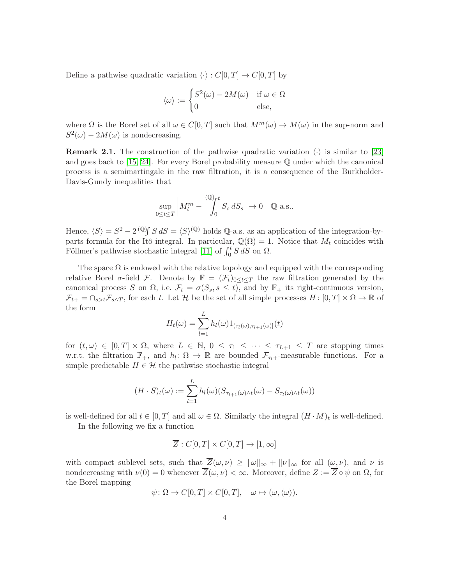Define a pathwise quadratic variation  $\langle \cdot \rangle : C[0, T] \to C[0, T]$  by

$$
\langle \omega \rangle := \begin{cases} S^2(\omega) - 2M(\omega) & \text{if } \omega \in \Omega \\ 0 & \text{else,} \end{cases}
$$

where  $\Omega$  is the Borel set of all  $\omega \in C[0,T]$  such that  $M^m(\omega) \to M(\omega)$  in the sup-norm and  $S^2(\omega) - 2M(\omega)$  is nondecreasing.

<span id="page-4-0"></span>**Remark 2.1.** The construction of the pathwise quadratic variation  $\langle \cdot \rangle$  is similar to [\[23\]](#page-20-15) and goes back to [\[15,](#page-20-16) [24\]](#page-20-17). For every Borel probability measure Q under which the canonical process is a semimartingale in the raw filtration, it is a consequence of the Burkholder-Davis-Gundy inequalities that

$$
\sup_{0\leq t\leq T}\left|M_{t}^{m}-\int_{0}^{(\mathbb{Q})_{t}}S_{s} dS_{s}\right|\to 0 \quad \mathbb{Q}\text{-a.s.}.
$$

Hence,  $\langle S \rangle = S^2 - 2^{(0)} \int S dS = \langle S \rangle^{(0)}$  holds Q-a.s. as an application of the integration-byparts formula for the Itô integral. In particular,  $\mathbb{Q}(\Omega) = 1$ . Notice that  $M_t$  coincides with Föllmer's pathwise stochastic integral [\[11\]](#page-20-18) of  $\int_0^t S dS$  on  $\Omega$ .

The space  $\Omega$  is endowed with the relative topology and equipped with the corresponding relative Borel  $\sigma$ -field F. Denote by  $\mathbb{F} = (\mathcal{F}_t)_{0 \leq t \leq T}$  the raw filtration generated by the canonical process S on  $\Omega$ , i.e.  $\mathcal{F}_t = \sigma(S_s, s \leq t)$ , and by  $\mathbb{F}_+$  its right-continuous version,  $\mathcal{F}_{t+} = \bigcap_{s>t} \mathcal{F}_{s\wedge T}$ , for each t. Let H be the set of all simple processes  $H: [0, T] \times \Omega \to \mathbb{R}$  of the form

$$
H_t(\omega) = \sum_{l=1}^L h_l(\omega) 1_{(\tau_l(\omega), \tau_{l+1}(\omega))}(t)
$$

for  $(t,\omega) \in [0,T] \times \Omega$ , where  $L \in \mathbb{N}$ ,  $0 \leq \tau_1 \leq \cdots \leq \tau_{L+1} \leq T$  are stopping times w.r.t. the filtration  $\mathbb{F}_+$ , and  $h_l: \Omega \to \mathbb{R}$  are bounded  $\mathcal{F}_{\tau_l+}$ -measurable functions. For a simple predictable  $H \in \mathcal{H}$  the pathwise stochastic integral

$$
(H \cdot S)_t(\omega) := \sum_{l=1}^L h_l(\omega) (S_{\tau_{l+1}(\omega) \wedge t}(\omega) - S_{\tau_l(\omega) \wedge t}(\omega))
$$

is well-defined for all  $t \in [0, T]$  and all  $\omega \in \Omega$ . Similarly the integral  $(H \cdot M)_t$  is well-defined.

In the following we fix a function

$$
\overline{Z}: C[0,T] \times C[0,T] \to [1,\infty]
$$

with compact sublevel sets, such that  $\overline{Z}(\omega, \nu) \ge ||\omega||_{\infty} + ||\nu||_{\infty}$  for all  $(\omega, \nu)$ , and  $\nu$  is nondecreasing with  $\nu(0) = 0$  whenever  $\overline{Z}(\omega, \nu) < \infty$ . Moreover, define  $Z := \overline{Z} \circ \psi$  on  $\Omega$ , for the Borel mapping

$$
\psi \colon \Omega \to C[0,T] \times C[0,T], \quad \omega \mapsto (\omega, \langle \omega \rangle).
$$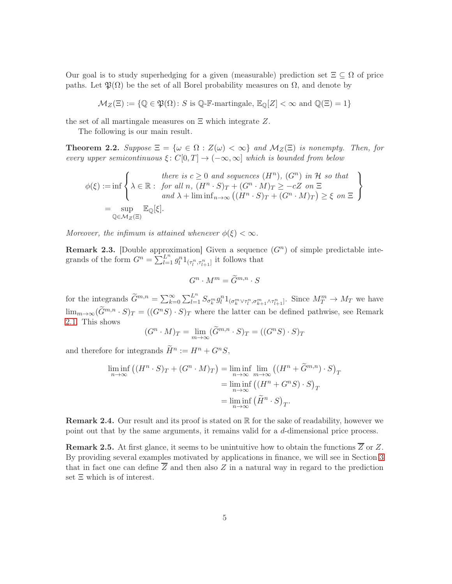Our goal is to study superhedging for a given (measurable) prediction set  $\Xi \subseteq \Omega$  of price paths. Let  $\mathfrak{P}(\Omega)$  be the set of all Borel probability measures on  $\Omega$ , and denote by

$$
\mathcal{M}_Z(\Xi) := \{ \mathbb{Q} \in \mathfrak{P}(\Omega) \colon S \text{ is } \mathbb{Q}\text{-}\mathbb{F}\text{-martingale, } \mathbb{E}_{\mathbb{Q}}[Z] < \infty \text{ and } \mathbb{Q}(\Xi) = 1 \}
$$

the set of all martingale measures on  $\Xi$  which integrate  $Z$ .

The following is our main result.

<span id="page-5-1"></span>**Theorem 2.2.** Suppose  $\Xi = {\omega \in \Omega : Z(\omega) < \infty}$  and  $M_Z(\Xi)$  is nonempty. Then, for every upper semicontinuous  $\xi: C[0,T] \to (-\infty,\infty]$  which is bounded from below

$$
\phi(\xi) := \inf \left\{ \lambda \in \mathbb{R} : \text{ for all } n, (H^n \cdot S)_T + (G^n \cdot M)_T \ge -cZ \text{ on } \Xi \atop \text{and } \lambda + \liminf_{n \to \infty} ((H^n \cdot S)_T + (G^n \cdot M)_T) \ge \xi \text{ on } \Xi \right\}
$$

$$
= \sup_{\mathbb{Q} \in \mathcal{M}_Z(\Xi)} \mathbb{E}_{\mathbb{Q}}[\xi].
$$

Moreover, the infimum is attained whenever  $\phi(\xi) < \infty$ .

<span id="page-5-0"></span>**Remark 2.3.** Double approximation Given a sequence  $(G<sup>n</sup>)$  of simple predictable integrands of the form  $G^n = \sum_{l=1}^{L^n} g_l^n 1_{(\tau_l^n, \tau_{l+1}^n]}$  it follows that

$$
G^n \cdot M^m = \widetilde{G}^{m,n} \cdot S
$$

for the integrands  $\widetilde{G}^{m,n} = \sum_{k=0}^{\infty} \sum_{l=1}^{L^n} S_{\sigma_k^m} g_l^n 1_{(\sigma_k^m \vee \tau_l^n, \sigma_{k+1}^m \wedge \tau_{l+1}^n]}$ . Since  $M_T^m \to M_T$  we have  $\lim_{m\to\infty} (\tilde{G}^{m,n} \cdot S)_T = ((G^nS) \cdot S)_T$  where the latter can be defined pathwise, see Remark [2.1.](#page-4-0) This shows

$$
(G^n \cdot M)_T = \lim_{m \to \infty} (\widetilde{G}^{m,n} \cdot S)_T = ((G^n S) \cdot S)_T
$$

and therefore for integrands  $\tilde{H}^n := H^n + G^n S$ ,

$$
\liminf_{n \to \infty} ((H^n \cdot S)_T + (G^n \cdot M)_T) = \liminf_{n \to \infty} \lim_{m \to \infty} ((H^n + \widetilde{G}^{m,n}) \cdot S)_T
$$

$$
= \liminf_{n \to \infty} ((H^n + G^n S) \cdot S)_T
$$

$$
= \liminf_{n \to \infty} (\widetilde{H}^n \cdot S)_T.
$$

**Remark 2.4.** Our result and its proof is stated on  $\mathbb{R}$  for the sake of readability, however we point out that by the same arguments, it remains valid for a d-dimensional price process.

**Remark 2.5.** At first glance, it seems to be unintuitive how to obtain the functions  $\overline{Z}$  or Z. By providing several examples motivated by applications in finance, we will see in Section [3](#page-6-0) that in fact one can define  $\overline{Z}$  and then also Z in a natural way in regard to the prediction set Ξ which is of interest.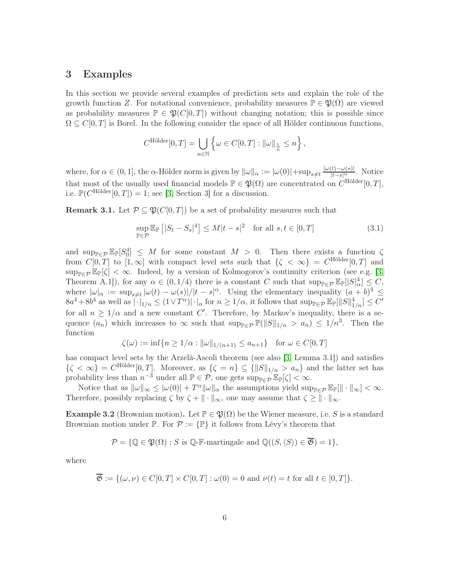#### <span id="page-6-0"></span>3 Examples

In this section we provide several examples of prediction sets and explain the role of the growth function Z. For notational convenience, probability measures  $\mathbb{P} \in \mathfrak{P}(\Omega)$  are viewed as probability measures  $\mathbb{P} \in \mathfrak{P}(C[0,T])$  without changing notation; this is possible since  $\Omega \subseteq C[0,T]$  is Borel. In the following consider the space of all Hölder continuous functions,

$$
C^{\text{Hölder}}[0,T] = \bigcup_{n \in \mathbb{N}} \left\{ \omega \in C[0,T] : ||\omega||_{\frac{1}{n}} \leq n \right\},\,
$$

where, for  $\alpha \in (0,1]$ , the  $\alpha$ -Hölder norm is given by  $\|\omega\|_{\alpha} := |\omega(0)| + \sup_{s \neq t} \frac{|\omega(t) - \omega(s)|}{|t - s|^{\alpha}}$ . Notice that most of the usually used financial models  $\mathbb{P} \in \mathfrak{P}(\Omega)$  are concentrated on  $C^{\text{Hölder}}[0,T]$ , i.e.  $\mathbb{P}(C^{\text{Hölder}}[0,T]) = 1$ ; see [\[3,](#page-19-3) Section 3] for a discussion.

<span id="page-6-1"></span>**Remark 3.1.** Let  $\mathcal{P} \subseteq \mathfrak{P}(C[0,T])$  be a set of probability measures such that

<span id="page-6-2"></span>
$$
\sup_{\mathbb{P}\in\mathcal{P}} \mathbb{E}_{\mathbb{P}}\left[|S_t - S_s|^4\right] \le M|t - s|^2 \quad \text{for all } s, t \in [0, T] \tag{3.1}
$$

and  $\sup_{\mathbb{P}\in\mathcal{P}}\mathbb{E}_{\mathbb{P}}[S_0^4] \leq M$  for some constant  $M > 0$ . Then there exists a function  $\zeta$ from  $C[0,T]$  to  $[1,\infty]$  with compact level sets such that  $\{\zeta < \infty\} = C^{\text{Hölder}}[0,T]$  and  $\sup_{\mathbb{P}\in\mathcal{P}}\mathbb{E}_{\mathbb{P}}[\zeta]<\infty$ . Indeed, by a version of Kolmogorov's continuity criterion (see e.g. [\[3,](#page-19-3) Theorem A.1]), for any  $\alpha \in (0, 1/4)$  there is a constant C such that  $\sup_{\mathbb{P}\in\mathcal{P}} \mathbb{E}_{\mathbb{P}}[|S|^4_{\alpha}] \leq C$ , where  $|\omega|_{\alpha} := \sup_{s \neq t} |\omega(t) - \omega(s)|/|t - s|^{\alpha}$ . Using the elementary inequality  $(a + b)^4 \le$  $8a^4 + 8b^4$  as well as  $|\cdot|_{1/n} \leq (1 \vee T^{\alpha}) |\cdot|_{\alpha}$  for  $n \geq 1/\alpha$ , it follows that  $\sup_{\mathbb{P} \in \mathcal{P}} \mathbb{E}_{\mathbb{P}} [\|S\|_{1/n}^4] \leq C'$ for all  $n \geq 1/\alpha$  and a new constant C'. Therefore, by Markov's inequality, there is a sequence  $(a_n)$  which increases to  $\infty$  such that  $\sup_{\mathbb{P}\in\mathcal{P}}\mathbb{P}(\|S\|_{1/n} > a_n) \leq 1/n^3$ . Then the function

$$
\zeta(\omega) := \inf \{ n \ge 1/\alpha : ||\omega||_{1/(n+1)} \le a_{n+1} \} \text{ for } \omega \in C[0, T]
$$

has compact level sets by the Arzelà-Ascoli theorem (see also [\[3,](#page-19-3) Lemma 3.1]) and satisfies  $\{\zeta < \infty\} = C^{\text{Hölder}}[0,T].$  Moreover, as  $\{\zeta = n\} \subseteq {\{|S\|_{1/n} > a_n\}}$  and the latter set has probability less than  $n^{-3}$  under all  $\mathbb{P} \in \mathcal{P}$ , one gets  $\sup_{\mathbb{P} \in \mathcal{P}} \mathbb{E}_{\mathbb{P}}[\zeta] < \infty$ .

Notice that as  $\|\omega\|_{\infty} \le |\omega(0)| + T^{\alpha} \|\omega\|_{\alpha}$  the assumptions yield  $\sup_{\mathbb{P}\in\mathcal{P}} \mathbb{E}_{\mathbb{P}}[\|\cdot\|_{\infty}] < \infty$ . Therefore, possibly replacing  $\zeta$  by  $\zeta + \|\cdot\|_{\infty}$ , one may assume that  $\zeta \geq \|\cdot\|_{\infty}$ .

<span id="page-6-3"></span>Example 3.2 (Brownian motion). Let  $\mathbb{P} \in \mathfrak{P}(\Omega)$  be the Wiener measure, i.e. S is a standard Brownian motion under  $\mathbb{P}$ . For  $\mathcal{P} := \{\mathbb{P}\}\$ it follows from Lévy's theorem that

$$
\mathcal{P} = \{ \mathbb{Q} \in \mathfrak{P}(\Omega) : S \text{ is } \mathbb{Q}\text{-}\mathbb{F}\text{-martingale and } \mathbb{Q}((S, \langle S \rangle) \in \mathfrak{G}) = 1 \},
$$

where

$$
\overline{\mathfrak{G}} := \{ (\omega, \nu) \in C[0, T] \times C[0, T] : \omega(0) = 0 \text{ and } \nu(t) = t \text{ for all } t \in [0, T] \}.
$$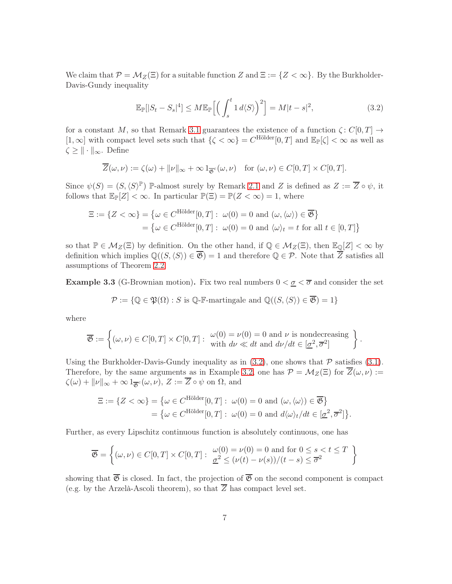We claim that  $\mathcal{P} = \mathcal{M}_Z(\Xi)$  for a suitable function Z and  $\Xi := \{Z < \infty\}$ . By the Burkholder-Davis-Gundy inequality

<span id="page-7-0"></span>
$$
\mathbb{E}_{\mathbb{P}}[|S_t - S_s|^4] \le M \mathbb{E}_{\mathbb{P}}\Big[\Big(\int_s^t 1 \, d\langle S \rangle \Big)^2\Big] = M|t - s|^2,\tag{3.2}
$$

for a constant M, so that Remark [3.1](#page-6-1) guarantees the existence of a function  $\zeta: C[0,T] \to$  $[1,\infty]$  with compact level sets such that  $\{\zeta<\infty\}=C^{\text{Hölder}}[0,T]$  and  $\mathbb{E}_{\mathbb{P}}[\zeta]<\infty$  as well as  $\zeta \geq \|\cdot\|_{\infty}$ . Define

$$
\overline{Z}(\omega,\nu) := \zeta(\omega) + \|\nu\|_{\infty} + \infty 1_{\overline{\mathfrak{G}}^c}(\omega,\nu) \quad \text{for } (\omega,\nu) \in C[0,T] \times C[0,T].
$$

Since  $\psi(S) = (S,\langle S \rangle^{\mathbb{P}})$  P-almost surely by Remark [2.1](#page-4-0) and Z is defined as  $Z := \overline{Z} \circ \psi$ , it follows that  $\mathbb{E}_{\mathbb{P}}[Z] < \infty$ . In particular  $\mathbb{P}(\Xi) = \mathbb{P}(Z < \infty) = 1$ , where

$$
\Xi := \{ Z < \infty \} = \{ \omega \in C^{\text{Hölder}}[0, T] : \ \omega(0) = 0 \text{ and } (\omega, \langle \omega \rangle) \in \overline{\mathfrak{G}} \}
$$

$$
= \{ \omega \in C^{\text{Hölder}}[0, T] : \ \omega(0) = 0 \text{ and } \langle \omega \rangle_t = t \text{ for all } t \in [0, T] \}
$$

so that  $\mathbb{P} \in M_Z(\Xi)$  by definition. On the other hand, if  $\mathbb{Q} \in M_Z(\Xi)$ , then  $\mathbb{E}_{\mathbb{Q}}[Z] < \infty$  by definition which implies  $\mathbb{Q}((S,\langle S\rangle)\in\overline{\mathfrak{G}})=1$  and therefore  $\mathbb{Q}\in\mathcal{P}$ . Note that  $\overline{Z}$  satisfies all assumptions of Theorem [2.2.](#page-5-1)

<span id="page-7-1"></span>**Example 3.3** (G-Brownian motion). Fix two real numbers  $0 < \underline{\sigma} < \overline{\sigma}$  and consider the set

$$
\mathcal{P} := \{ \mathbb{Q} \in \mathfrak{P}(\Omega) : S \text{ is } \mathbb{Q}\text{-}\mathbb{F}\text{-martingale and } \mathbb{Q}((S, \langle S \rangle) \in \overline{\mathfrak{G}}) = 1 \}
$$

where

$$
\overline{\mathfrak{G}} := \left\{ (\omega, \nu) \in C[0, T] \times C[0, T] : \begin{array}{l} \omega(0) = \nu(0) = 0 \text{ and } \nu \text{ is nondecreasing} \\ \text{with } d\nu \ll dt \text{ and } d\nu/dt \in [\underline{\sigma}^2, \overline{\sigma}^2] \end{array} \right\}
$$

.

Using the Burkholder-Davis-Gundy inequality as in  $(3.2)$ , one shows that  $\mathcal P$  satisfies  $(3.1)$ . Therefore, by the same arguments as in Example [3.2,](#page-6-3) one has  $\mathcal{P} = \mathcal{M}_Z(\Xi)$  for  $\overline{Z}(\omega, \nu) :=$  $\zeta(\omega) + ||\nu||_{\infty} + \infty 1_{\overline{\mathfrak{G}}^c}(\omega, \nu), Z := Z \circ \psi$  on  $\Omega$ , and

$$
\begin{aligned} \Xi := \{ Z < \infty \} &= \big\{ \omega \in C^{\text{Hölder}}[0,T] : \ \omega(0) = 0 \ \text{and} \ (\omega,\langle \omega \rangle) \in \overline{\mathfrak{G}} \big\} \\ &= \big\{ \omega \in C^{\text{Hölder}}[0,T] : \ \omega(0) = 0 \ \text{and} \ d\langle \omega \rangle_t / dt \in [\underline{\sigma}^2, \overline{\sigma}^2] \big\}. \end{aligned}
$$

Further, as every Lipschitz continuous function is absolutely continuous, one has

$$
\overline{\mathfrak{G}} = \left\{ (\omega, \nu) \in C[0, T] \times C[0, T] : \begin{array}{l} \omega(0) = \nu(0) = 0 \text{ and for } 0 \le s < t \le T \\ \frac{\sigma^2}{2} \le (\nu(t) - \nu(s))/(t - s) \le \overline{\sigma}^2 \end{array} \right\}
$$

showing that  $\overline{\mathfrak{G}}$  is closed. In fact, the projection of  $\overline{\mathfrak{G}}$  on the second component is compact (e.g. by the Arzelà-Ascoli theorem), so that  $\overline{Z}$  has compact level set.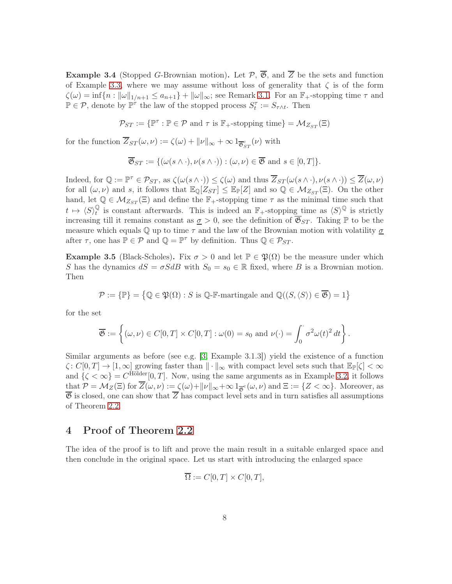**Example 3.4** (Stopped G-Brownian motion). Let  $\mathcal{P}, \overline{\mathcal{B}},$  and  $\overline{Z}$  be the sets and function of Example [3.3,](#page-7-1) where we may assume without loss of generality that  $\zeta$  is of the form  $\zeta(\omega) = \inf\{n : ||\omega||_{1/n+1} \le a_{n+1}\} + ||\omega||_{\infty};$  see Remark [3.1.](#page-6-1) For an  $\mathbb{F}_{+}$ -stopping time  $\tau$  and  $\mathbb{P} \in \mathcal{P}$ , denote by  $\mathbb{P}^{\tau}$  the law of the stopped process  $S_t^{\tau} := S_{\tau \wedge t}$ . Then

$$
\mathcal{P}_{ST} := \{ \mathbb{P}^\tau : \mathbb{P} \in \mathcal{P} \text{ and } \tau \text{ is } \mathbb{F}_+\text{-stopping time} \} = \mathcal{M}_{Z_{ST}}(\Xi)
$$

for the function  $Z_{ST}(\omega,\nu) := \zeta(\omega) + ||\nu||_{\infty} + \infty 1_{\overline{\mathfrak{G}}_{ST}^c}(\nu)$  with

$$
\overline{\mathfrak{G}}_{ST} := \{ (\omega(s \wedge \cdot), \nu(s \wedge \cdot)) : (\omega, \nu) \in \overline{\mathfrak{G}} \text{ and } s \in [0, T] \}.
$$

Indeed, for  $\mathbb{Q} := \mathbb{P}^{\tau} \in \mathcal{P}_{ST}$ , as  $\zeta(\omega(s \wedge \cdot)) \leq \zeta(\omega)$  and thus  $\overline{Z}_{ST}(\omega(s \wedge \cdot), \nu(s \wedge \cdot)) \leq \overline{Z}(\omega, \nu)$ for all  $(\omega, \nu)$  and s, it follows that  $\mathbb{E}_{\mathbb{Q}}[Z_{ST}] \leq \mathbb{E}_{\mathbb{P}}[Z]$  and so  $\mathbb{Q} \in \mathcal{M}_{Z_{ST}}(\Xi)$ . On the other hand, let  $\mathbb{Q} \in \mathcal{M}_{Z_{ST}}(\Xi)$  and define the  $\mathbb{F}_+$ -stopping time  $\tau$  as the minimal time such that  $t\, \mapsto\, \langle S\rangle ^{\mathbb{Q}}_t$  $\mathbb{Q}$  is constant afterwards. This is indeed an  $\mathbb{F}_+$ -stopping time as  $\langle S \rangle^{\mathbb{Q}}$  is strictly increasing till it remains constant as  $\sigma > 0$ , see the definition of  $\overline{\mathfrak{G}}_{ST}$ . Taking  $\mathbb P$  to be the measure which equals  $\mathbb Q$  up to time  $\tau$  and the law of the Brownian motion with volatility  $\sigma$ after  $\tau$ , one has  $\mathbb{P} \in \mathcal{P}$  and  $\mathbb{Q} = \mathbb{P}^{\tau}$  by definition. Thus  $\mathbb{Q} \in \mathcal{P}_{ST}$ .

Example 3.5 (Black-Scholes). Fix  $\sigma > 0$  and let  $\mathbb{P} \in \mathfrak{P}(\Omega)$  be the measure under which S has the dynamics  $dS = \sigma S dB$  with  $S_0 = s_0 \in \mathbb{R}$  fixed, where B is a Brownian motion. Then

$$
\mathcal{P} := \{ \mathbb{P} \} = \left\{ \mathbb{Q} \in \mathfrak{P}(\Omega) : S \text{ is } \mathbb{Q}\text{-}\mathbb{F}\text{-martingale and } \mathbb{Q}((S, \langle S \rangle) \in \overline{\mathfrak{G}}) = 1 \right\}
$$

for the set

$$
\overline{\mathfrak{G}} := \left\{ (\omega, \nu) \in C[0, T] \times C[0, T] : \omega(0) = s_0 \text{ and } \nu(\cdot) = \int_0^{\cdot} \sigma^2 \omega(t)^2 dt \right\}.
$$

Similar arguments as before (see e.g. [\[3,](#page-19-3) Example 3.1.3]) yield the existence of a function  $\zeta: C[0,T] \to [1,\infty]$  growing faster than  $\|\cdot\|_{\infty}$  with compact level sets such that  $\mathbb{E}_{\mathbb{P}}[\zeta] < \infty$ and  $\{\zeta < \infty\} = C^{\text{Hölder}}[0, T]$ . Now, using the same arguments as in Example [3.2,](#page-6-3) it follows that  $\mathcal{P} = \mathcal{M}_Z(\Xi)$  for  $Z(\omega, \nu) := \zeta(\omega) + ||\nu||_{\infty} + \infty 1_{\overline{\mathfrak{G}}^c}(\omega, \nu)$  and  $\Xi := \{Z < \infty\}$ . Moreover, as  $\overline{\mathfrak{G}}$  is closed, one can show that  $\overline{Z}$  has compact level sets and in turn satisfies all assumptions of Theorem [2.2.](#page-5-1)

#### <span id="page-8-0"></span>4 Proof of Theorem [2.2](#page-5-1)

The idea of the proof is to lift and prove the main result in a suitable enlarged space and then conclude in the original space. Let us start with introducing the enlarged space

$$
\overline{\Omega} := C[0, T] \times C[0, T],
$$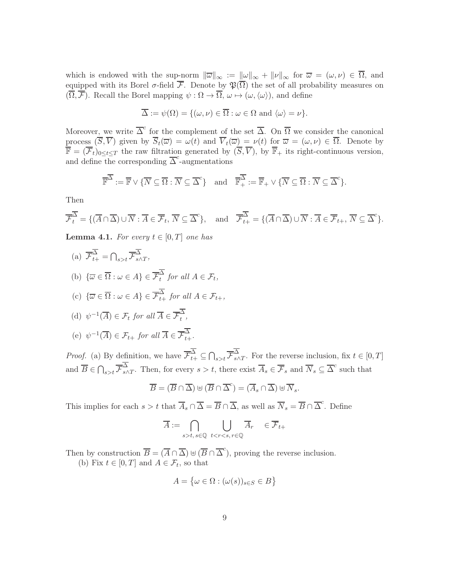which is endowed with the sup-norm  $\|\overline{\omega}\|_{\infty} := \|\omega\|_{\infty} + \|\nu\|_{\infty}$  for  $\overline{\omega} = (\omega, \nu) \in \overline{\Omega}$ , and equipped with its Borel  $\sigma$ -field  $\overline{\mathcal{F}}$ . Denote by  $\mathfrak{P}(\overline{\Omega})$  the set of all probability measures on  $(\overline{\Omega}, \overline{\mathcal{F}})$ . Recall the Borel mapping  $\psi : \Omega \to \overline{\Omega}, \omega \mapsto (\omega, \langle \omega \rangle)$ , and define

$$
\overline{\Delta} := \psi(\Omega) = \{(\omega, \nu) \in \overline{\Omega} : \omega \in \Omega \text{ and } \langle \omega \rangle = \nu\}.
$$

Moreover, we write  $\overline{\Delta}^c$  for the complement of the set  $\overline{\Delta}$ . On  $\overline{\Omega}$  we consider the canonical process  $(\overline{S}, \overline{V})$  given by  $\overline{S}_t(\overline{\omega}) = \omega(t)$  and  $\overline{V}_t(\overline{\omega}) = \nu(t)$  for  $\overline{\omega} = (\omega, \nu) \in \overline{\Omega}$ . Denote by  $\overline{\mathbb{F}} = (\overline{\mathcal{F}}_t)_{0 \leq t \leq T}$  the raw filtration generated by  $(\overline{S}, \overline{V})$ , by  $\overline{\mathbb{F}}_+$  its right-continuous version, and define the corresponding  $\overline{\Delta}^c$ -augmentations

$$
\overline{\mathbb{F}}^{\overline{\Delta}} := \overline{\mathbb{F}} \vee \{ \overline{N} \subseteq \overline{\Omega} : \overline{N} \subseteq \overline{\Delta}^c \} \text{ and } \overline{\mathbb{F}}_+^{\overline{\Delta}} := \overline{\mathbb{F}}_+ \vee \{ \overline{N} \subseteq \overline{\Omega} : \overline{N} \subseteq \overline{\Delta}^c \}.
$$

Then

$$
\overline{\mathcal{F}}_t^{\overline{\Delta}} = \{ (\overline{A} \cap \overline{\Delta}) \cup \overline{N} : \overline{A} \in \overline{\mathcal{F}}_t, \overline{N} \subseteq \overline{\Delta}^c \}, \text{ and } \overline{\mathcal{F}}_{t+}^{\overline{\Delta}} = \{ (\overline{A} \cap \overline{\Delta}) \cup \overline{N} : \overline{A} \in \overline{\mathcal{F}}_{t+}, \overline{N} \subseteq \overline{\Delta}^c \}.
$$

<span id="page-9-0"></span>**Lemma 4.1.** For every  $t \in [0, T]$  one has

(a) 
$$
\overline{\mathcal{F}}_{t+}^{\overline{\Delta}} = \bigcap_{s>t} \overline{\mathcal{F}}_{s\wedge T}^{\overline{\Delta}},
$$
  
\n(b)  $\{\overline{\omega} \in \overline{\Omega} : \omega \in A\} \in \overline{\mathcal{F}}_t^{\overline{\Delta}} \text{ for all } A \in \mathcal{F}_t,$   
\n(c)  $\{\overline{\omega} \in \overline{\Omega} : \omega \in A\} \in \overline{\mathcal{F}}_{t+}^{\overline{\Delta}} \text{ for all } A \in \mathcal{F}_{t+},$   
\n(d)  $\psi^{-1}(\overline{A}) \in \mathcal{F}_t \text{ for all } \overline{A} \in \overline{\mathcal{F}}_t^{\overline{\Delta}},$   
\n(e)  $\psi^{-1}(\overline{A}) \in \mathcal{F}_{t+} \text{ for all } \overline{A} \in \overline{\mathcal{F}}_{t+}^{\overline{\Delta}}.$ 

*Proof.* (a) By definition, we have  $\overline{\mathcal{F}}_{t+}^{\Delta} \subseteq \bigcap_{s>t} \overline{\mathcal{F}}_{s}^{\Delta}$  $\sum_{s \wedge T}$ . For the reverse inclusion, fix  $t \in [0, T]$ and  $\overline{B} \in \bigcap_{s>t} \overline{\mathcal{F}}_{s}^{\Delta}$  $\frac{\Delta}{s\wedge T}$ . Then, for every  $s>t$ , there exist  $\overline{A}_s \in \overline{\mathcal{F}}_s$  and  $\overline{N}_s \subseteq \overline{\Delta}^c$  such that

$$
\overline{B} = (\overline{B} \cap \overline{\Delta}) \oplus (\overline{B} \cap \overline{\Delta}^c) = (\overline{A}_s \cap \overline{\Delta}) \oplus \overline{N}_s.
$$

This implies for each  $s > t$  that  $\overline{A}_s \cap \overline{\Delta} = \overline{B} \cap \overline{\Delta}$ , as well as  $\overline{N}_s = \overline{B} \cap \overline{\Delta}^c$ . Define

$$
\overline{A}:=\bigcap_{s>t,\,s\in\mathbb{Q}}\ \bigcup_{t
$$

Then by construction  $\overline{B} = (\overline{A} \cap \overline{\Delta}) \oplus (\overline{B} \cap \overline{\Delta}^c)$ , proving the reverse inclusion. (b) Fix  $t \in [0, T]$  and  $A \in \mathcal{F}_t$ , so that

$$
A = \{ \omega \in \Omega : (\omega(s))_{s \in S} \in B \}
$$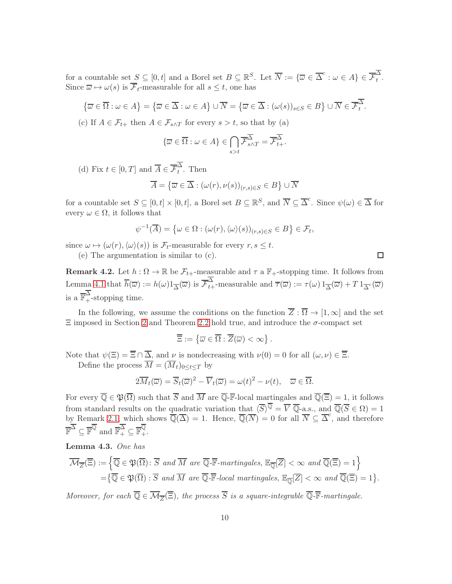for a countable set  $S \subseteq [0,t]$  and a Borel set  $B \subseteq \mathbb{R}^S$ . Let  $\overline{N} := \{ \overline{\omega} \in \overline{\Delta}^c : \omega \in A \} \in \overline{\mathcal{F}}_t^{\Delta}$  $\overrightarrow{t}$ . Since  $\overline{\omega} \mapsto \omega(s)$  is  $\overline{\mathcal{F}}_t$ -measurable for all  $s \leq t$ , one has

$$
\{\overline{\omega}\in\overline{\Omega}:\omega\in A\}=\{\overline{\omega}\in\overline{\Delta}:\omega\in A\}\cup\overline{N}=\{\overline{\omega}\in\overline{\Delta}:(\omega(s))_{s\in S}\in B\}\cup\overline{N}\in\overline{\mathcal{F}_t^{\Delta}}.
$$

(c) If  $A \in \mathcal{F}_{t+}$  then  $A \in \mathcal{F}_{s \wedge T}$  for every  $s > t$ , so that by (a)

$$
\{\overline{\omega}\in\overline{\Omega}:\omega\in A\}\in\bigcap_{s>t}\overline{\mathcal{F}}_{s\wedge T}^{\overline{\Delta}}=\overline{\mathcal{F}}_{t+}^{\overline{\Delta}}.
$$

(d) Fix  $t \in [0, T]$  and  $\overline{A} \in \overline{\mathcal{F}}_t^{\Delta}$  $\sum_{t}$ . Then

$$
\overline{A} = \left\{ \overline{\omega} \in \overline{\Delta} : (\omega(r), \nu(s))_{(r,s) \in S} \in B \right\} \cup \overline{N}
$$

for a countable set  $S \subseteq [0, t] \times [0, t]$ , a Borel set  $B \subseteq \mathbb{R}^S$ , and  $\overline{N} \subseteq \overline{\Delta}^c$ . Since  $\psi(\omega) \in \overline{\Delta}$  for every  $\omega \in \Omega$ , it follows that

$$
\psi^{-1}(\overline{A}) = \left\{ \omega \in \Omega : (\omega(r), \langle \omega \rangle(s))_{(r,s) \in S} \in B \right\} \in \mathcal{F}_t,
$$

since  $\omega \mapsto (\omega(r), \langle \omega \rangle(s))$  is  $\mathcal{F}_t$ -measurable for every  $r, s \leq t$ .

(e) The argumentation is similar to (c).

<span id="page-10-0"></span>**Remark 4.2.** Let  $h : \Omega \to \mathbb{R}$  be  $\mathcal{F}_{t+}$ -measurable and  $\tau$  a  $\mathbb{F}_{+}$ -stopping time. It follows from Lemma [4.1](#page-9-0) that  $\overline{h}(\overline{\omega}) := h(\omega)1_{\overline{\Delta}}(\overline{\omega})$  is  $\overline{\mathcal{F}}_{t+}^{\Delta}$ -measurable and  $\overline{\tau}(\overline{\omega}) := \tau(\omega)1_{\overline{\Delta}}(\overline{\omega}) + T1_{\overline{\Delta}^c}(\overline{\omega})$ is a  $\overline{\mathbb{F}}_+^{\Delta}$ -stopping time.

In the following, we assume the conditions on the function  $\overline{Z} : \overline{\Omega} \to [1,\infty]$  and the set  $\Xi$  imposed in Section [2](#page-3-0) and Theorem [2.2](#page-5-1) hold true, and introduce the  $\sigma$ -compact set

$$
\overline{\Xi}:=\left\{\overline{\omega}\in\overline{\Omega}:\overline{Z}(\overline{\omega})<\infty\right\}.
$$

Note that  $\psi(\Xi) = \overline{\Xi} \cap \overline{\Delta}$ , and  $\nu$  is nondecreasing with  $\nu(0) = 0$  for all  $(\omega, \nu) \in \overline{\Xi}$ . Define the process  $\overline{M} = (\overline{M}_t)_{0 \leq t \leq T}$  by

$$
2\overline{M}_t(\overline{\omega}) = \overline{S}_t(\overline{\omega})^2 - \overline{V}_t(\overline{\omega}) = \omega(t)^2 - \nu(t), \quad \overline{\omega} \in \overline{\Omega}.
$$

For every  $\overline{\mathbb{Q}} \in \mathfrak{P}(\overline{\Omega})$  such that  $\overline{S}$  and  $\overline{M}$  are  $\overline{\mathbb{Q}}$ -**F**-local martingales and  $\overline{\mathbb{Q}}(\overline{\Xi}) = 1$ , it follows from standard results on the quadratic variation that  $\langle \overline{S} \rangle^{\mathbb{Q}} = \overline{V} \overline{\mathbb{Q}}$ -a.s., and  $\overline{\mathbb{Q}}(\overline{S} \in \Omega) = 1$ by Remark [2.1,](#page-4-0) which shows  $\overline{\mathbb{Q}}(\overline{\Delta}) = 1$ . Hence,  $\overline{\mathbb{Q}}(\overline{N}) = 0$  for all  $\overline{N} \subseteq \overline{\Delta}^c$ , and therefore  $\overline{\mathbb{F}}^{\overline{\Delta}} \subseteq \overline{\mathbb{F}}^{\overline{\mathbb{Q}}}$  and  $\overline{\mathbb{F}}_+^{\overline{\Delta}} \subseteq \overline{\mathbb{F}}_+^{\overline{\mathbb{Q}}}$ .

<span id="page-10-1"></span>Lemma 4.3. One has

$$
\overline{\mathcal{M}}_{\overline{Z}}(\overline{\Xi}) := \left\{ \overline{\mathbb{Q}} \in \mathfrak{P}(\overline{\Omega}) : \overline{S} \text{ and } \overline{M} \text{ are } \overline{\mathbb{Q}} \cdot \overline{\mathbb{F}} \text{-martingales, } \mathbb{E}_{\overline{\mathbb{Q}}}[\overline{Z}] < \infty \text{ and } \overline{\mathbb{Q}}(\overline{\Xi}) = 1 \right\}
$$
\n
$$
= \left\{ \overline{\mathbb{Q}} \in \mathfrak{P}(\overline{\Omega}) : \overline{S} \text{ and } \overline{M} \text{ are } \overline{\mathbb{Q}} \cdot \overline{\mathbb{F}} \text{-local martingales, } \mathbb{E}_{\overline{\mathbb{Q}}}[\overline{Z}] < \infty \text{ and } \overline{\mathbb{Q}}(\overline{\Xi}) = 1 \right\}.
$$

Moreover, for each  $\mathbb{Q} \in \mathcal{M}_{\overline{Z}}(\Xi)$ , the process S is a square-integrable  $\mathbb{Q}$ -**F**-martingale.

 $\Box$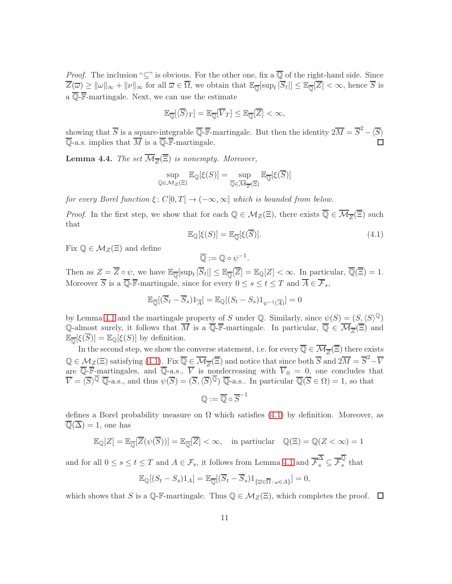*Proof.* The inclusion " $\subseteq$ " is obvious. For the other one, fix a  $\overline{\mathbb{Q}}$  of the right-hand side. Since  $\overline{Z}(\overline{\omega}) \geq ||\omega||_{\infty} + ||\nu||_{\infty}$  for all  $\overline{\omega} \in \overline{\Omega}$ , we obtain that  $\mathbb{E}_{\overline{\mathbb{Q}}}[\sup_t |\overline{S}_t|] \leq \mathbb{E}_{\overline{\mathbb{Q}}}[\overline{Z}] < \infty$ , hence  $\overline{S}$  is a  $\overline{\mathbb{Q}}$ - $\overline{\mathbb{F}}$ -martingale. Next, we can use the estimate

$$
\mathbb{E}_{\overline{\mathbb{Q}}}[\langle \overline{S} \rangle_T] = \mathbb{E}_{\overline{\mathbb{Q}}}[\overline{V}_T] \leq \mathbb{E}_{\overline{\mathbb{Q}}}[\overline{Z}] < \infty,
$$

showing that  $\overline{S}$  is a square-integrable  $\overline{\mathbb{Q}}$ -**F**-martingale. But then the identity  $2\overline{M} = \overline{S}^2 - \langle \overline{S} \rangle$  $\overline{\mathbb{Q}}$ -a.s. implies that  $\overline{M}$  is a  $\overline{\mathbb{Q}}$ -**F**-martingale.

<span id="page-11-1"></span>**Lemma 4.4.** The set  $M_{\overline{Z}}(\Xi)$  is nonempty. Moreover,

$$
\sup_{\mathbb{Q}\in\mathcal{M}_Z(\Xi)}\mathbb{E}_{\mathbb{Q}}[\xi(S)] = \sup_{\overline{\mathbb{Q}}\in\overline{\mathcal{M}_Z(\Xi)}}\mathbb{E}_{\overline{\mathbb{Q}}}[\xi(\overline{S})]
$$

for every Borel function  $\xi: C[0,T] \to (-\infty,\infty]$  which is bounded from below.

*Proof.* In the first step, we show that for each  $\mathbb{Q} \in M_Z(\Xi)$ , there exists  $\mathbb{Q} \in M_{\overline{Z}}(\Xi)$  such that

<span id="page-11-0"></span>
$$
\mathbb{E}_{\mathbb{Q}}[\xi(S)] = \mathbb{E}_{\overline{\mathbb{Q}}}[\xi(\overline{S})].\tag{4.1}
$$

Fix  $\mathbb{Q} \in M_Z(\Xi)$  and define

$$
\overline{\mathbb{Q}} := \mathbb{Q} \circ \psi^{-1}.
$$

Then as  $Z = Z \circ \psi$ , we have  $\mathbb{E}_{\overline{\mathbb{Q}}}[\sup_t |S_t|] \leq \mathbb{E}_{\overline{\mathbb{Q}}}[Z] = \mathbb{E}_{\mathbb{Q}}[Z] < \infty$ . In particular,  $\mathbb{Q}(\Xi) = 1$ . Moreover  $\overline{S}$  is a  $\overline{\mathbb{Q}}$ -**F**-martingale, since for every  $0 \le s \le t \le T$  and  $\overline{A} \in \overline{\mathcal{F}}_s$ ,

$$
\mathbb{E}_{\overline{\mathbb{Q}}}[(\overline{S}_t - \overline{S}_s)1_{\overline{A}}] = \mathbb{E}_{\mathbb{Q}}[(S_t - S_s)1_{\psi^{-1}(\overline{A})}] = 0
$$

by Lemma [4.1](#page-9-0) and the martingale property of S under Q. Similarly, since  $\psi(S) = (S,\langle S\rangle^{\mathbb{Q}})$ Q-almost surely, it follows that M is a Q-F-martingale. In particular,  $\mathbb{Q} \in \mathcal{M}_{\overline{Z}}(\Xi)$  and  $\mathbb{E}_{\overline{\mathbb{Q}}}[\xi(\overline{S})] = \mathbb{E}_{\mathbb{Q}}[\xi(S)]$  by definition.

In the second step, we show the converse statement, i.e. for every  $\overline{Q} \in \overline{M}_{\overline{Z}}(\overline{\Xi})$  there exists  $\mathbb{Q} \in \mathcal{M}_{Z}(\Xi)$  satisfying  $(4.1)$ . Fix  $\overline{\mathbb{Q}} \in \overline{\mathcal{M}}_{\overline{Z}}(\overline{\Xi})$  and notice that since both  $\overline{S}$  and  $2\overline{M} = \overline{S}^{2} - \overline{V}$ are  $\overline{\mathbb{Q}}$ -**F**-martingales, and  $\overline{\mathbb{Q}}$ -a.s.,  $\overline{V}$  is nondecreasing with  $\overline{V}_0 = 0$ , one concludes that  $\overline{V} = \langle \overline{S} \rangle^{\overline{\mathbb{Q}}}$   $\overline{\mathbb{Q}}$ -a.s., and thus  $\psi(\overline{S}) = (\overline{S}, \langle \overline{S} \rangle^{\overline{\mathbb{Q}}} )$   $\overline{\mathbb{Q}}$ -a.s.. In particular  $\overline{\mathbb{Q}}(\overline{S} \in \Omega) = 1$ , so that

$$
\mathbb{Q}:=\overline{\mathbb{Q}}\circ \overline{S}^{-1}
$$

defines a Borel probability measure on  $\Omega$  which satisfies [\(4.1\)](#page-11-0) by definition. Moreover, as  $\overline{\mathbb{Q}}(\overline{\Delta}) = 1$ , one has

$$
\mathbb{E}_{\mathbb{Q}}[Z] = \mathbb{E}_{\overline{\mathbb{Q}}}[\overline{Z}(\psi(\overline{S}))] = \mathbb{E}_{\overline{\mathbb{Q}}}[\overline{Z}] < \infty, \quad \text{in particular} \quad \mathbb{Q}(\Xi) = \mathbb{Q}(Z < \infty) = 1
$$

and for all  $0 \le s \le t \le T$  and  $A \in \mathcal{F}_s$ , it follows from Lemma [4.1](#page-9-0) and  $\overline{\mathcal{F}}_s^{\Delta} \subseteq \overline{\mathcal{F}}_s^{\mathbb{Q}}$  $\frac{1}{s}$  that

$$
\mathbb{E}_{\mathbb{Q}}[(S_t - S_s)1_A] = \mathbb{E}_{\overline{\mathbb{Q}}}[(\overline{S}_t - \overline{S}_s)1_{\{\overline{\omega} \in \overline{\Omega} : \omega \in A\}}] = 0,
$$

which shows that S is a  $\mathbb{Q}$ -F-martingale. Thus  $\mathbb{Q} \in M_Z(\Xi)$ , which completes the proof.  $\Box$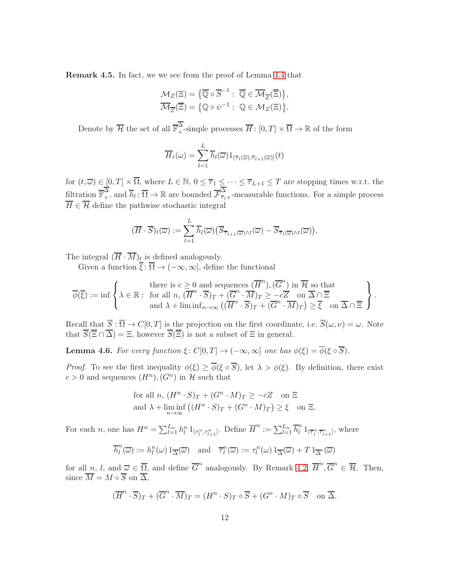Remark 4.5. In fact, we we see from the proof of Lemma [4.4](#page-11-1) that

$$
\mathcal{M}_Z(\Xi) = \{ \overline{\mathbb{Q}} \circ \overline{S}^{-1} : \overline{\mathbb{Q}} \in \overline{\mathcal{M}}_{\overline{Z}}(\overline{\Xi}) \}, \overline{\mathcal{M}}_{\overline{Z}}(\overline{\Xi}) = \{ \mathbb{Q} \circ \psi^{-1} : \mathbb{Q} \in \mathcal{M}_Z(\Xi) \}.
$$

Denote by  $\overline{\mathcal{H}}$  the set of all  $\overline{\mathbb{F}}_+^{\Delta}$ -simple processes  $\overline{H}$ :  $[0,T] \times \overline{\Omega} \to \mathbb{R}$  of the form

$$
\overline{H}_t(\omega) = \sum_{l=1}^L \overline{h}_l(\overline{\omega}) 1_{(\overline{\tau}_l(\overline{\omega}), \overline{\tau}_{l+1}(\overline{\omega})]}(t)
$$

for  $(t,\overline{\omega}) \in [0,T] \times \Omega$ , where  $L \in \mathbb{N}$ ,  $0 \leq \overline{\tau}_1 \leq \cdots \leq \overline{\tau}_{L+1} \leq T$  are stopping times w.r.t. the filtration  $\overline{\mathbb{F}}_+^{\Delta}$ , and  $\overline{h}_l : \overline{\Omega} \to \mathbb{R}$  are bounded  $\overline{\mathcal{F}}_{\overline{\tau}_l+}^{\Delta}$ -measurable functions. For a simple process  $H \in \mathcal{H}$  define the pathwise stochastic integral

$$
(\overline{H}\cdot\overline{S})_t(\overline{\omega}) := \sum_{l=1}^L \overline{h}_l(\overline{\omega}) \big( \overline{S}_{\overline{\tau}_{l+1}(\overline{\omega})\wedge t}(\overline{\omega}) - \overline{S}_{\overline{\tau}_l(\overline{\omega})\wedge t}(\overline{\omega}) \big).
$$

The integral  $(H \cdot M)_t$  is defined analogously.

Given a function  $\xi : \Omega \to (-\infty, \infty]$ , define the functional

$$
\overline{\phi}(\overline{\xi}) := \inf \left\{ \lambda \in \mathbb{R} : \begin{array}{c} \text{there is } c \geq 0 \text{ and sequences } (\overline{H}^n), (\overline{G}^n) \text{ in } \overline{\mathcal{H}} \text{ so that} \\ \text{for all } n, (\overline{H}^n \cdot \overline{S})_T + (\overline{G}^n \cdot \overline{M})_T \geq -c\overline{Z} \quad \text{on } \overline{\Delta} \cap \overline{\Xi} \\ \text{and } \lambda + \liminf_{n \to \infty} ((\overline{H}^n \cdot \overline{S})_T + (\overline{G}^n \cdot \overline{M})_T) \geq \overline{\xi} \quad \text{on } \overline{\Delta} \cap \overline{\Xi} \end{array} \right\}.
$$

Recall that  $S : \Omega \to C[0,T]$  is the projection on the first coordinate, i.e.  $S(\omega, \nu) = \omega$ . Note that  $S(\Xi \cap \Delta) = \Xi$ , however  $S(\Xi)$  is not a subset of  $\Xi$  in general.

<span id="page-12-0"></span>**Lemma 4.6.** For every function  $\xi$ :  $C[0,T] \to (-\infty,\infty]$  one has  $\phi(\xi) = \overline{\phi}(\xi \circ \overline{S})$ .

*Proof.* To see the first inequality  $\phi(\xi) \geq \overline{\phi}(\xi \circ \overline{S})$ , let  $\lambda > \phi(\xi)$ . By definition, there exist  $c > 0$  and sequences  $(H^n)$ ,  $(G^n)$  in H such that

for all 
$$
n
$$
,  $(H^n \cdot S)_T + (G^n \cdot M)_T \ge -cZ$  on  $\Xi$   
and  $\lambda + \liminf_{n \to \infty} ((H^n \cdot S)_T + (G^n \cdot M)_T) \ge \xi$  on  $\Xi$ .

For each *n*, one has  $H^n = \sum_{l=1}^{L_n} h_l^n 1_{(\tau_l^n, \tau_{l+1}^n]}$ . Define  $\overline{H}^n := \sum_{l=1}^{L_n} \overline{h}_l^n$  $\prod_{l=1}^{n} \left( \overline{\tau}_{l}^{n}, \overline{\tau}_{l+1}^{n} \right]$ , where

$$
\overline{h}_l^n(\overline{\omega}) := h_l^n(\omega) 1_{\overline{\Delta}}(\overline{\omega}) \quad \text{and} \quad \overline{\tau}_l^n(\overline{\omega}) := \tau_l^n(\omega) 1_{\overline{\Delta}}(\overline{\omega}) + T 1_{\overline{\Delta}^c}(\overline{\omega})
$$

for all  $n, l$ , and  $\overline{\omega} \in \overline{\Omega}$ , and define  $\overline{G}^n$  analogously. By Remark [4.2,](#page-10-0)  $\overline{H}^n$ ,  $\overline{G}^n \in \overline{\mathcal{H}}$ . Then, since  $\overline{M} = M \circ \overline{S}$  on  $\overline{\Delta}$ ,

$$
(\overline{H}^n \cdot \overline{S})_T + (\overline{G}^n \cdot \overline{M})_T = (H^n \cdot S)_T \circ \overline{S} + (G^n \cdot M)_T \circ \overline{S} \quad \text{on } \overline{\Delta}.
$$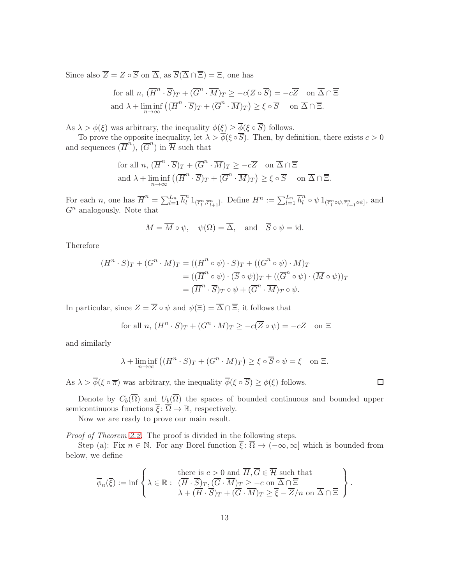Since also  $\overline{Z} = Z \circ \overline{S}$  on  $\overline{\Delta}$ , as  $\overline{S}(\overline{\Delta} \cap \overline{\Xi}) = \Xi$ , one has

for all 
$$
n, (\overline{H}^n \cdot \overline{S})_T + (\overline{G}^n \cdot \overline{M})_T \ge -c(Z \circ \overline{S}) = -c\overline{Z}
$$
 on  $\overline{\Delta} \cap \overline{\Xi}$   
and  $\lambda + \liminf_{n \to \infty} ((\overline{H}^n \cdot \overline{S})_T + (\overline{G}^n \cdot \overline{M})_T) \ge \xi \circ \overline{S}$  on  $\overline{\Delta} \cap \overline{\Xi}$ .

As  $\lambda > \phi(\xi)$  was arbitrary, the inequality  $\phi(\xi) \geq \phi(\xi \circ S)$  follows.

To prove the opposite inequality, let  $\lambda > \phi(\xi \circ S)$ . Then, by definition, there exists  $c > 0$ and sequences  $(\overline{H}^n)$ ,  $(\overline{G}^n)$  in  $\overline{\mathcal{H}}$  such that

for all 
$$
n, (\overline{H}^n \cdot \overline{S})_T + (\overline{G}^n \cdot \overline{M})_T \ge -c\overline{Z}
$$
 on  $\overline{\Delta} \cap \overline{\Xi}$   
and  $\lambda + \liminf_{n \to \infty} ((\overline{H}^n \cdot \overline{S})_T + (\overline{G}^n \cdot \overline{M})_T) \ge \xi \circ \overline{S}$  on  $\overline{\Delta} \cap \overline{\Xi}$ .

For each *n*, one has  $\overline{H}^n = \sum_{l=1}^{L_n} \overline{h}_l^n 1_{(\overline{\tau}_l^n, \overline{\tau}_{l+1}^n]}$ . Define  $H^n := \sum_{l=1}^{L_n} \overline{h}_l^n \circ \psi 1_{(\overline{\tau}_l^n \circ \psi, \overline{\tau}_{l+1}^n \circ \psi]}$ , and  $G<sup>n</sup>$  analogously. Note that

$$
M = \overline{M} \circ \psi
$$
,  $\psi(\Omega) = \overline{\Delta}$ , and  $\overline{S} \circ \psi = id$ .

Therefore

$$
(H^n \cdot S)_T + (G^n \cdot M)_T = ((\overline{H}^n \circ \psi) \cdot S)_T + ((\overline{G}^n \circ \psi) \cdot M)_T
$$
  
= 
$$
((\overline{H}^n \circ \psi) \cdot (\overline{S} \circ \psi))_T + ((\overline{G}^n \circ \psi) \cdot (\overline{M} \circ \psi))_T
$$
  
= 
$$
(\overline{H}^n \cdot \overline{S})_T \circ \psi + (\overline{G}^n \cdot \overline{M})_T \circ \psi.
$$

In particular, since  $Z = \overline{Z} \circ \psi$  and  $\psi(\Xi) = \overline{\Delta} \cap \overline{\Xi}$ , it follows that

for all 
$$
n, (H^n \cdot S)_T + (G^n \cdot M)_T \ge -c(\overline{Z} \circ \psi) = -cZ
$$
 on  $\Xi$ 

and similarly

$$
\lambda + \liminf_{n \to \infty} ((H^n \cdot S)_T + (G^n \cdot M)_T) \ge \xi \circ \overline{S} \circ \psi = \xi \quad \text{on } \Xi.
$$

As  $\lambda > \overline{\phi}(\xi \circ \overline{\pi})$  was arbitrary, the inequality  $\overline{\phi}(\xi \circ \overline{S}) \geq \phi(\xi)$  follows.

Denote by  $C_b(\overline{\Omega})$  and  $U_b(\overline{\Omega})$  the spaces of bounded continuous and bounded upper semicontinuous functions  $\overline{\xi}$ :  $\overline{\Omega} \to \mathbb{R}$ , respectively.

Now we are ready to prove our main result.

Proof of Theorem [2.2.](#page-5-1) The proof is divided in the following steps.

Step (a): Fix  $n \in \mathbb{N}$ . For any Borel function  $\overline{\xi}$ :  $\overline{\Omega} \to (-\infty, \infty]$  which is bounded from below, we define

$$
\overline{\phi}_n(\overline{\xi}) := \inf \left\{ \lambda \in \mathbb{R} : \begin{array}{c} \text{there is } c > 0 \text{ and } \overline{H}, \overline{G} \in \overline{\mathcal{H}} \text{ such that} \\ (\overline{H} \cdot \overline{S})_T, (\overline{G} \cdot \overline{M})_T \ge -c \text{ on } \overline{\Delta} \cap \overline{\Xi} \\ \lambda + (\overline{H} \cdot \overline{S})_T + (\overline{G} \cdot \overline{M})_T \ge \overline{\xi} - \overline{Z}/n \text{ on } \overline{\Delta} \cap \overline{\Xi} \end{array} \right\}.
$$

 $\Box$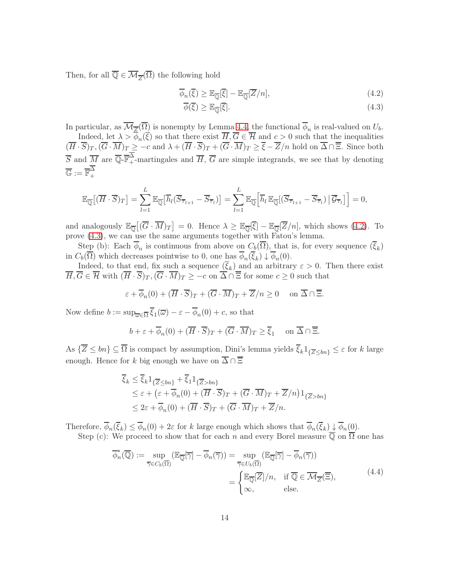Then, for all  $\overline{\mathbb{Q}} \in \overline{\mathcal{M}}_{\overline{Z}}(\overline{\Omega})$  the following hold

$$
\overline{\phi}_n(\overline{\xi}) \ge \mathbb{E}_{\overline{\mathbb{Q}}}[\overline{\xi}] - \mathbb{E}_{\overline{\mathbb{Q}}}[\overline{Z}/n],\tag{4.2}
$$

<span id="page-14-1"></span><span id="page-14-0"></span>
$$
\overline{\phi}(\overline{\xi}) \ge \mathbb{E}_{\overline{\mathbb{Q}}}[\overline{\xi}].\tag{4.3}
$$

In particular, as  $\mathcal{M}_{\overline{Z}}(\Omega)$  is nonempty by Lemma [4.4,](#page-11-1) the functional  $\phi_n$  is real-valued on  $U_b$ .

Indeed, let  $\lambda > \phi_n(\xi)$  so that there exist  $H, G \in \mathcal{H}$  and  $c > 0$  such that the inequalities  $(H \cdot S)_T$ ,  $(G \cdot M)_T \ge -c$  and  $\lambda + (H \cdot S)_T + (G \cdot M)_T \ge \xi - Z/n$  hold on  $\Delta \cap \Xi$ . Since both  $\overline{S}$  and  $\overline{M}$  are  $\overline{\mathbb{Q}}$ - $\overline{\mathbb{F}}_+^{\Delta}$ -martingales and  $\overline{H}$ ,  $\overline{G}$  are simple integrands, we see that by denoting  $\overline{\mathbb{G}}:=\overline{\mathbb{F}}_+^\Delta$ +

$$
\mathbb{E}_{\overline{\mathbb{Q}}}[(\overline{H}\cdot\overline{S})_T] = \sum_{l=1}^L \mathbb{E}_{\overline{\mathbb{Q}}}[\overline{h}_l(\overline{S}_{\overline{\tau}_{l+1}} - \overline{S}_{\overline{\tau}_l})] = \sum_{l=1}^L \mathbb{E}_{\overline{\mathbb{Q}}}[\overline{h}_l \mathbb{E}_{\overline{\mathbb{Q}}}[(\overline{S}_{\overline{\tau}_{l+1}} - \overline{S}_{\overline{\tau}_l}) \,|\, \overline{G}_{\overline{\tau}_l}]\big] = 0,
$$

and analogously  $\mathbb{E}_{\overline{\mathbb{Q}}}[(\overline{G}\cdot\overline{M})_T] = 0$ . Hence  $\lambda \geq \mathbb{E}_{\overline{\mathbb{Q}}}[\overline{\xi}] - \mathbb{E}_{\overline{\mathbb{Q}}}[\overline{Z}/n]$ , which shows [\(4.2\)](#page-14-0). To prove [\(4.3\)](#page-14-1), we can use the same arguments together with Fatou's lemma.

Step (b): Each  $\phi_n$  is continuous from above on  $C_b(\Omega)$ , that is, for every sequence  $(\xi_k)$ in  $C_b(\Omega)$  which decreases pointwise to 0, one has  $\phi_n(\xi_k) \downarrow \phi_n(0)$ .

Indeed, to that end, fix such a sequence  $(\xi_k)$  and an arbitrary  $\varepsilon > 0$ . Then there exist  $H, G \in \mathcal{H}$  with  $(H \cdot S)_T$ ,  $(G \cdot M)_T \ge -c$  on  $\Delta \cap \Xi$  for some  $c \ge 0$  such that

$$
\varepsilon + \overline{\phi}_n(0) + (\overline{H} \cdot \overline{S})_T + (\overline{G} \cdot \overline{M})_T + \overline{Z}/n \ge 0 \quad \text{on } \overline{\Delta} \cap \overline{\Xi}.
$$

Now define  $b := \sup_{\overline{\omega} \in \overline{\Omega}} \xi_1(\overline{\omega}) - \varepsilon - \phi_n(0) + c$ , so that

$$
b + \varepsilon + \overline{\phi}_n(0) + (\overline{H} \cdot \overline{S})_T + (\overline{G} \cdot \overline{M})_T \ge \overline{\xi}_1 \quad \text{ on } \overline{\Delta} \cap \overline{\Xi}.
$$

As  $\{\overline{Z} \le bn\} \subseteq \overline{\Omega}$  is compact by assumption, Dini's lemma yields  $\overline{\xi}_k 1_{\{\overline{Z} \le bn\}} \le \varepsilon$  for k large enough. Hence for k big enough we have on  $\overline{\Delta} \cap \overline{\Xi}$ 

$$
\overline{\xi}_k \leq \overline{\xi}_k 1_{\{\overline{Z} \leq bn\}} + \overline{\xi}_1 1_{\{\overline{Z} > bn\}} \leq \varepsilon + (\varepsilon + \overline{\phi}_n(0) + (\overline{H} \cdot \overline{S})_T + (\overline{G} \cdot \overline{M})_T + \overline{Z}/n) 1_{\{\overline{Z} > bn\}} \leq 2\varepsilon + \overline{\phi}_n(0) + (\overline{H} \cdot \overline{S})_T + (\overline{G} \cdot \overline{M})_T + \overline{Z}/n.
$$

Therefore,  $\phi_n(\xi_k) \leq \phi_n(0) + 2\varepsilon$  for k large enough which shows that  $\phi_n(\xi_k) \downarrow \phi_n(0)$ .

Step (c): We proceed to show that for each n and every Borel measure  $\overline{Q}$  on  $\overline{\Omega}$  one has

<span id="page-14-2"></span>
$$
\overline{\phi}_n^*(\overline{\mathbb{Q}}) := \sup_{\overline{\gamma} \in C_b(\overline{\Omega})} (\mathbb{E}_{\overline{\mathbb{Q}}}[\overline{\gamma}] - \overline{\phi}_n(\overline{\gamma})) = \sup_{\overline{\gamma} \in U_b(\overline{\Omega})} (\mathbb{E}_{\overline{\mathbb{Q}}}[\overline{\gamma}] - \overline{\phi}_n(\overline{\gamma}))
$$

$$
= \begin{cases} \mathbb{E}_{\overline{\mathbb{Q}}}[\overline{Z}]/n, & \text{if } \overline{\mathbb{Q}} \in \overline{\mathcal{M}}_{\overline{Z}}(\overline{\Xi}), \\ \infty, & \text{else.} \end{cases} (4.4)
$$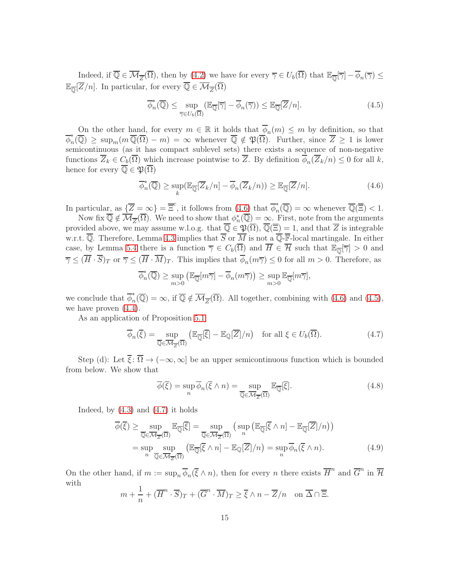Indeed, if  $\overline{\mathbb{Q}} \in \overline{\mathcal{M}_{\overline{Z}}}(\overline{\Omega})$ , then by [\(4.2\)](#page-14-0) we have for every  $\overline{\gamma} \in U_b(\overline{\Omega})$  that  $\mathbb{E}_{\overline{\mathbb{Q}}}[\overline{\gamma}] - \phi_n(\overline{\gamma}) \leq$  $\mathbb{E}_{\overline{\mathbb{Q}}}[Z/n]$ . In particular, for every  $\mathbb{Q} \in \mathcal{M}_{\overline{Z}}(\Omega)$ 

<span id="page-15-1"></span>
$$
\overline{\phi}_n^*(\overline{\mathbb{Q}}) \le \sup_{\overline{\gamma} \in U_b(\overline{\Omega})} (\mathbb{E}_{\overline{\mathbb{Q}}}[\overline{\gamma}] - \overline{\phi}_n(\overline{\gamma})) \le \mathbb{E}_{\overline{\mathbb{Q}}}[\overline{Z}/n]. \tag{4.5}
$$

On the other hand, for every  $m \in \mathbb{R}$  it holds that  $\overline{\phi}_n(m) \leq m$  by definition, so that  $\overline{\phi}_n^*$  $\int_n^{\infty}(\mathbb{Q}) \geq \sup_m(m\mathbb{Q}(\Omega) - m) = \infty$  whenever  $\mathbb{Q} \notin \mathfrak{P}(\Omega)$ . Further, since  $Z \geq 1$  is lower semicontinuous (as it has compact sublevel sets) there exists a sequence of non-negative functions  $Z_k \in C_b(\Omega)$  which increase pointwise to Z. By definition  $\phi_n(Z_k/n) \leq 0$  for all k, hence for every  $\overline{\mathbb{Q}} \in \mathfrak{P}(\overline{\Omega})$ 

<span id="page-15-0"></span>
$$
\overline{\phi}_n^*(\overline{\mathbb{Q}}) \ge \sup_k (\mathbb{E}_{\overline{\mathbb{Q}}}[\overline{Z}_k/n] - \overline{\phi}_n(\overline{Z}_k/n)) \ge \mathbb{E}_{\overline{\mathbb{Q}}}[\overline{Z}/n]. \tag{4.6}
$$

In particular, as  $\{\overline{Z} = \infty\} = \overline{\Xi}^c$ , it follows from [\(4.6\)](#page-15-0) that  $\overline{\phi}_n^*$  $\mathbb{Q}_n(\overline{\mathbb{Q}}) = \infty$  whenever  $\overline{\mathbb{Q}}(\overline{\Xi}) < 1$ .

Now fix  $\overline{\mathbb{Q}} \notin \overline{\mathcal{M}}_{\overline{Z}}(\overline{\Omega})$ . We need to show that  $\phi_n^*(\overline{\mathbb{Q}}) = \underline{\infty}$ . First, note from the arguments provided above, we may assume w.l.o.g. that  $\overline{\mathbb{Q}} \in \mathfrak{P}(\overline{\Omega}), \overline{\mathbb{Q}}(\overline{\Xi}) = 1$ , and that  $\overline{Z}$  is integrable w.r.t.  $\overline{\mathbb{Q}}$ . Therefore, Lemma [4.3](#page-10-1) implies that  $\overline{S}$  or  $\overline{M}$  is not a  $\overline{\mathbb{Q}}$ -**F**-local martingale. In either case, by Lemma [5.4](#page-18-0) there is a function  $\overline{\gamma} \in C_b(\overline{\Omega})$  and  $\overline{H} \in \overline{\mathcal{H}}$  such that  $\mathbb{E}_{\overline{\mathbb{Q}}}[\overline{\gamma}] > 0$  and  $\overline{\gamma} \leq (H \cdot S)_T$  or  $\overline{\gamma} \leq (H \cdot M)_T$ . This implies that  $\phi_n(m\overline{\gamma}) \leq 0$  for all  $m > 0$ . Therefore, as

$$
\overline{\phi}_n^*(\overline{\mathbb{Q}}) \ge \sup_{m>0} \left( \mathbb{E}_{\overline{\mathbb{Q}}}[m\overline{\gamma}] - \overline{\phi}_n(m\overline{\gamma}) \right) \ge \sup_{m>0} \mathbb{E}_{\overline{\mathbb{Q}}}[m\overline{\gamma}],
$$

we conclude that  $\overline{\phi}_n^*$  $\Gamma_n(\overline{\mathbb{Q}}) = \infty$ , if  $\overline{\mathbb{Q}} \notin \overline{\mathcal{M}_{\overline{Z}}}(\overline{\Omega})$ . All together, combining with  $(4.6)$  and  $(4.5)$ , we have proven  $(4.4)$ .

As an application of Proposition [5.1](#page-16-1)

<span id="page-15-2"></span>
$$
\overline{\phi}_n(\overline{\xi}) = \sup_{\overline{\mathbb{Q}} \in \overline{\mathcal{M}}_{\overline{Z}}(\overline{\Omega})} \left( \mathbb{E}_{\overline{\mathbb{Q}}}[\overline{\xi}] - \mathbb{E}_{\mathbb{Q}}[\overline{Z}]/n \right) \quad \text{for all } \xi \in U_b(\overline{\Omega}). \tag{4.7}
$$

Step (d): Let  $\overline{\xi}$ :  $\overline{\Omega} \to (-\infty, \infty]$  be an upper semicontinuous function which is bounded from below. We show that

<span id="page-15-4"></span><span id="page-15-3"></span>
$$
\overline{\phi}(\overline{\xi}) = \sup_{n} \overline{\phi}_n(\overline{\xi} \wedge n) = \sup_{\overline{\mathbb{Q}} \in \overline{\mathcal{M}}_{\overline{Z}}(\overline{\Omega})} \mathbb{E}_{\overline{\mathbb{Q}}}[\overline{\xi}]. \tag{4.8}
$$

Indeed, by  $(4.3)$  and  $(4.7)$  it holds

$$
\overline{\phi}(\overline{\xi}) \ge \sup_{\overline{\mathbb{Q}} \in \overline{\mathcal{M}}_{\overline{Z}}(\overline{\Omega})} \mathbb{E}_{\overline{\mathbb{Q}}}[\overline{\xi}] = \sup_{\overline{\mathbb{Q}} \in \overline{\mathcal{M}}_{\overline{Z}}(\overline{\Omega})} \left( \sup_{n} \left( \mathbb{E}_{\overline{\mathbb{Q}}}[\overline{\xi} \wedge n] - \mathbb{E}_{\overline{\mathbb{Q}}}[\overline{Z}]/n \right) \right)
$$
\n
$$
= \sup_{n} \sup_{\overline{\mathbb{Q}} \in \overline{\mathcal{M}}_{\overline{Z}}(\overline{\Omega})} \left( \mathbb{E}_{\overline{\mathbb{Q}}}[\overline{\xi} \wedge n] - \mathbb{E}_{\mathbb{Q}}[\overline{Z}]/n \right) = \sup_{n} \overline{\phi}_{n}(\overline{\xi} \wedge n). \tag{4.9}
$$

On the other hand, if  $m := \sup_n \overline{\phi}_n(\overline{\xi} \wedge n)$ , then for every n there exists  $\overline{H}^n$  and  $\overline{G}^n$  in  $\overline{\mathcal{H}}$ with

$$
m + \frac{1}{n} + (\overline{H}^n \cdot \overline{S})_T + (\overline{G}^n \cdot \overline{M})_T \ge \overline{\xi} \wedge n - \overline{Z}/n \text{ on } \overline{\Delta} \cap \overline{\Xi}.
$$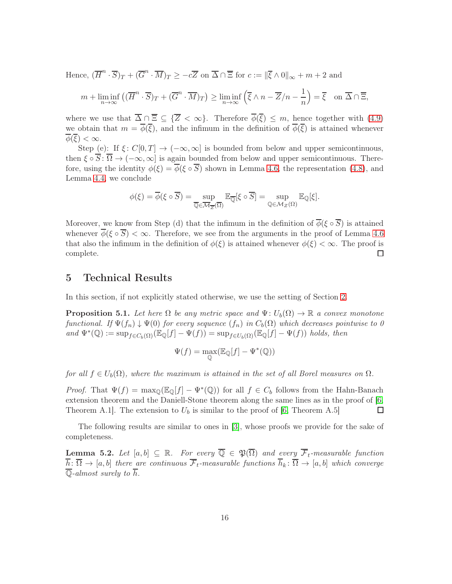Hence,  $(\overline{H}^n \cdot \overline{S})_T + (\overline{G}^n \cdot \overline{M})_T \ge -c\overline{Z}$  on  $\overline{\Delta} \cap \overline{\Xi}$  for  $c := ||\overline{\xi} \wedge 0||_{\infty} + m + 2$  and

$$
m + \liminf_{n \to \infty} \left( (\overline{H}^n \cdot \overline{S})_T + (\overline{G}^n \cdot \overline{M})_T \right) \ge \liminf_{n \to \infty} \left( \overline{\xi} \wedge n - \overline{Z}/n - \frac{1}{n} \right) = \overline{\xi} \quad \text{on } \overline{\Delta} \cap \overline{\Xi},
$$

where we use that  $\overline{\Delta} \cap \overline{\Xi} \subseteq {\overline{Z} < \infty}$ . Therefore  $\overline{\phi}(\overline{\xi}) \leq m$ , hence together with [\(4.9\)](#page-15-3) we obtain that  $m = \overline{\phi}(\overline{\xi})$ , and the infimum in the definition of  $\overline{\phi}(\overline{\xi})$  is attained whenever  $\overline{\phi}(\overline{\xi}) < \infty$ .

Step (e): If  $\xi: C[0,T] \to (-\infty,\infty]$  is bounded from below and upper semicontinuous, then  $\xi \circ \overline{S}$ :  $\overline{\Omega} \to (-\infty, \infty]$  is again bounded from below and upper semicontinuous. Therefore, using the identity  $\phi(\xi) = \overline{\phi(\xi \circ \overline{S})}$  shown in Lemma [4.6,](#page-12-0) the representation [\(4.8\)](#page-15-4), and Lemma [4.4,](#page-11-1) we conclude

$$
\phi(\xi) = \overline{\phi}(\xi \circ \overline{S}) = \sup_{\overline{\mathbb{Q}} \in \overline{\mathcal{M}}_{\overline{Z}}(\overline{\Omega})} \mathbb{E}_{\overline{\mathbb{Q}}}[\xi \circ \overline{S}] = \sup_{\mathbb{Q} \in \mathcal{M}_{Z}(\Omega)} \mathbb{E}_{\mathbb{Q}}[\xi].
$$

Moreover, we know from Step (d) that the infimum in the definition of  $\overline{\phi}(\xi \circ \overline{S})$  is attained whenever  $\overline{\phi}(\xi \circ \overline{S}) < \infty$ . Therefore, we see from the arguments in the proof of Lemma [4.6](#page-12-0) that also the infimum in the definition of  $\phi(\xi)$  is attained whenever  $\phi(\xi) < \infty$ . The proof is complete.  $\Box$ 

#### <span id="page-16-0"></span>5 Technical Results

In this section, if not explicitly stated otherwise, we use the setting of Section [2.](#page-3-0)

<span id="page-16-1"></span>**Proposition 5.1.** Let here  $\Omega$  be any metric space and  $\Psi: U_b(\Omega) \to \mathbb{R}$  a convex monotone functional. If  $\Psi(f_n) \downarrow \Psi(0)$  for every sequence  $(f_n)$  in  $C_b(\Omega)$  which decreases pointwise to 0 and  $\Psi^*(\mathbb{Q}) := \sup_{f \in C_b(\Omega)} (\mathbb{E}_{\mathbb{Q}}[f] - \Psi(f)) = \sup_{f \in U_b(\Omega)} (\mathbb{E}_{\mathbb{Q}}[f] - \Psi(f))$  holds, then

$$
\Psi(f) = \max_{\mathbb{Q}} (\mathbb{E}_{\mathbb{Q}}[f] - \Psi^*(\mathbb{Q}))
$$

for all  $f \in U_b(\Omega)$ , where the maximum is attained in the set of all Borel measures on  $\Omega$ .

*Proof.* That  $\Psi(f) = \max_{\mathbb{Q}} (\mathbb{E}_{\mathbb{Q}}[f] - \Psi^*(\mathbb{Q}))$  for all  $f \in C_b$  follows from the Hahn-Banach extension theorem and the Daniell-Stone theorem along the same lines as in the proof of [\[6,](#page-19-8) Theorem A.1. The extension to  $U_b$  is similar to the proof of [\[6,](#page-19-8) Theorem A.5]  $\Box$ 

The following results are similar to ones in [\[3\]](#page-19-3), whose proofs we provide for the sake of completeness.

<span id="page-16-2"></span>**Lemma 5.2.** Let  $[a, b] \subseteq \mathbb{R}$ . For every  $\overline{\mathbb{Q}} \in \mathfrak{P}(\overline{\Omega})$  and every  $\overline{\mathcal{F}}_t$ -measurable function  $\overline{h}: \overline{\Omega} \to [a, b]$  there are continuous  $\overline{\mathcal{F}}_t$ -measurable functions  $\overline{h}_k: \overline{\Omega} \to [a, b]$  which converge  $\overline{\mathbb{Q}}$ -almost surely to  $\overline{h}$ .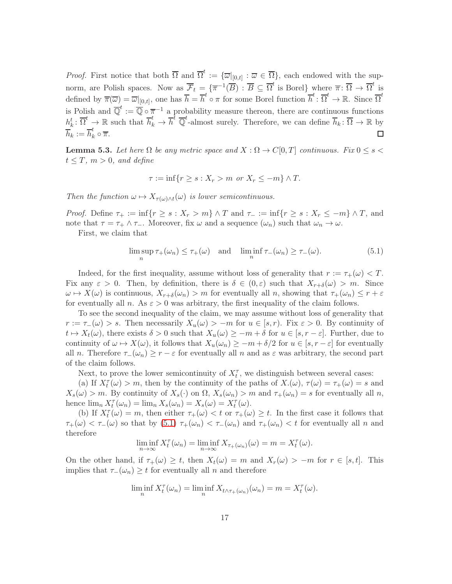*Proof.* First notice that both  $\overline{\Omega}$  and  $\overline{\Omega}^t := {\overline{\omega}|_{[0,t]} : \overline{\omega} \in \overline{\Omega}}$ , each endowed with the supnorm, are Polish spaces. Now as  $\overline{\mathcal{F}}_t = \{ \overline{\pi}^{-1}(\overline{B}) : \overline{B} \subseteq \overline{\Omega}^t \text{ is Borel} \}$  where  $\overline{\pi} : \overline{\Omega} \to \overline{\Omega}^t$  is defined by  $\overline{\pi}(\overline{\omega}) = \overline{\omega}|_{[0,t]},$  one has  $\overline{h} = \overline{h}^t \circ \pi$  for some Borel function  $\overline{h}^t : \overline{\Omega}^t \to \mathbb{R}$ . Since  $\overline{\Omega}^t$ is Polish and  $\overline{\mathbb{Q}}^t := \overline{\mathbb{Q}} \circ \overline{\pi}^{-1}$  a probability measure thereon, there are continuous functions  $h_k^t: \overline{\Omega}^t \to \mathbb{R}$  such that  $\overline{h}_k^t \to \overline{h}^t$   $\overline{\mathbb{Q}}^t$ -almost surely. Therefore, we can define  $\overline{h}_k: \overline{\Omega} \to \mathbb{R}$  by  $\overline{h}_k := \overline{h}_k^t \circ \overline{\pi}.$  $\Box$ 

<span id="page-17-1"></span>**Lemma 5.3.** Let here  $\Omega$  be any metric space and  $X : \Omega \to C[0,T]$  continuous. Fix  $0 \le s <$  $t \leq T$ ,  $m > 0$ , and define

$$
\tau := \inf\{r \ge s : X_r > m \text{ or } X_r \le -m\} \wedge T.
$$

Then the function  $\omega \mapsto X_{\tau(\omega)\wedge t}(\omega)$  is lower semicontinuous.

*Proof.* Define  $\tau_+ := \inf\{r \geq s : X_r > m\} \wedge T$  and  $\tau_- := \inf\{r \geq s : X_r \leq -m\} \wedge T$ , and note that  $\tau = \tau_+ \wedge \tau_-$ . Moreover, fix  $\omega$  and a sequence  $(\omega_n)$  such that  $\omega_n \to \omega$ .

First, we claim that

<span id="page-17-0"></span>
$$
\limsup_{n} \tau_{+}(\omega_{n}) \le \tau_{+}(\omega) \quad \text{and} \quad \liminf_{n} \tau_{-}(\omega_{n}) \ge \tau_{-}(\omega). \tag{5.1}
$$

Indeed, for the first inequality, assume without loss of generality that  $r := \tau_+(\omega) < T$ . Fix any  $\varepsilon > 0$ . Then, by definition, there is  $\delta \in (0,\varepsilon)$  such that  $X_{r+\delta}(\omega) > m$ . Since  $\omega \mapsto X(\omega)$  is continuous,  $X_{r+\delta}(\omega_n) > m$  for eventually all n, showing that  $\tau_+(\omega_n) \leq r + \varepsilon$ for eventually all n. As  $\varepsilon > 0$  was arbitrary, the first inequality of the claim follows.

To see the second inequality of the claim, we may assume without loss of generality that  $r := \tau_-(\omega) > s$ . Then necessarily  $X_u(\omega) > -m$  for  $u \in [s, r)$ . Fix  $\varepsilon > 0$ . By continuity of  $t \mapsto X_t(\omega)$ , there exists  $\delta > 0$  such that  $X_u(\omega) \ge -m + \delta$  for  $u \in [s, r - \varepsilon]$ . Further, due to continuity of  $\omega \mapsto X(\omega)$ , it follows that  $X_u(\omega_n) \ge -m + \delta/2$  for  $u \in [s, r - \varepsilon]$  for eventually all n. Therefore  $\tau_-(\omega_n) \geq r - \varepsilon$  for eventually all n and as  $\varepsilon$  was arbitrary, the second part of the claim follows.

Next, to prove the lower semicontinuity of  $X_t^{\tau}$ , we distinguish between several cases:

(a) If  $X_t^{\tau}(\omega) > m$ , then by the continuity of the paths of  $X(\omega)$ ,  $\tau(\omega) = \tau_+(\omega) = s$  and  $X_s(\omega) > m$ . By continuity of  $X_s(\cdot)$  on  $\Omega$ ,  $X_s(\omega_n) > m$  and  $\tau_+(\omega_n) = s$  for eventually all n, hence  $\lim_n X_t^{\tau}(\omega_n) = \lim_n X_s(\omega_n) = X_s(\omega) = X_t^{\tau}(\omega)$ .

(b) If  $X_t^{\tau}(\omega) = m$ , then either  $\tau_+(\omega) < t$  or  $\tau_+(\omega) \geq t$ . In the first case it follows that  $\tau_+(\omega) < \tau_-(\omega)$  so that by  $(5.1)$   $\tau_+(\omega_n) < \tau_-(\omega_n)$  and  $\tau_+(\omega_n) < t$  for eventually all n and therefore

$$
\liminf_{n \to \infty} X_t^{\tau}(\omega_n) = \liminf_{n \to \infty} X_{\tau_+(\omega_n)}(\omega) = m = X_t^{\tau}(\omega).
$$

On the other hand, if  $\tau_+(\omega) \geq t$ , then  $X_t(\omega) = m$  and  $X_r(\omega) > -m$  for  $r \in [s, t]$ . This implies that  $\tau_-(\omega_n) \geq t$  for eventually all n and therefore

$$
\liminf_{n} X_t^{\tau}(\omega_n) = \liminf_{n} X_{t \wedge \tau_+(\omega_n)}(\omega_n) = m = X_t^{\tau}(\omega).
$$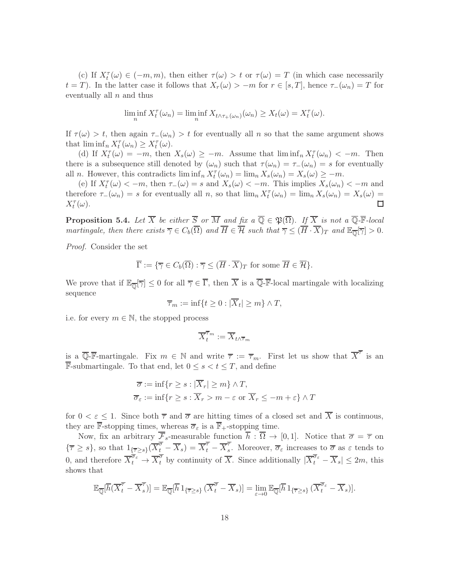(c) If  $X_t^{\tau}(\omega) \in (-m, m)$ , then either  $\tau(\omega) > t$  or  $\tau(\omega) = T$  (in which case necessarily  $t = T$ ). In the latter case it follows that  $X_r(\omega) > -m$  for  $r \in [s, T]$ , hence  $\tau_-(\omega_n) = T$  for eventually all  $n$  and thus

$$
\liminf_{n} X_t^{\tau}(\omega_n) = \liminf_{n} X_{t \wedge \tau_+(\omega_n)}(\omega_n) \ge X_t(\omega) = X_t^{\tau}(\omega).
$$

If  $\tau(\omega) > t$ , then again  $\tau_-(\omega_n) > t$  for eventually all n so that the same argument shows that  $\liminf_n X_t^{\tau}(\omega_n) \geq X_t^{\tau}(\omega)$ .

(d) If  $X_t^{\tau}(\omega) = -m$ , then  $X_s(\omega) \geq -m$ . Assume that  $\liminf_n X_t^{\tau}(\omega_n) < -m$ . Then there is a subsequence still denoted by  $(\omega_n)$  such that  $\tau(\omega_n) = \tau_-(\omega_n) = s$  for eventually all *n*. However, this contradicts  $\liminf_n X_t^{\tau}(\omega_n) = \lim_n X_s(\omega_n) = X_s(\omega) \ge -m$ .

(e) If  $X_t^{\tau}(\omega) < -m$ , then  $\tau_-(\omega) = s$  and  $X_s(\omega) < -m$ . This implies  $X_s(\omega_n) < -m$  and therefore  $\tau_-(\omega_n) = s$  for eventually all n, so that  $\lim_n X_t^{\tau}(\omega_n) = \lim_n X_s(\omega_n) = X_s(\omega) =$  $X_t^{\tau}(\omega)$ .  $\Box$ 

<span id="page-18-0"></span>**Proposition 5.4.** Let  $\overline{X}$  be either  $\overline{S}$  or  $\overline{M}$  and fix  $a \overline{\mathbb{Q}} \in \mathfrak{P}(\overline{\Omega})$ . If  $\overline{X}$  is not a  $\overline{\mathbb{Q}}$ -**F**-local martingale, then there exists  $\overline{\gamma} \in C_b(\overline{\Omega})$  and  $\overline{H} \in \overline{\mathcal{H}}$  such that  $\overline{\gamma} \leq (\overline{H} \cdot \overline{X})_T$  and  $\mathbb{E}_{\overline{\mathbb{Q}}}[\overline{\gamma}] > 0$ .

Proof. Consider the set

$$
\overline{\Gamma} := \{ \overline{\gamma} \in C_b(\overline{\Omega}) : \overline{\gamma} \leq (\overline{H} \cdot \overline{X})_T \text{ for some } \overline{H} \in \overline{\mathcal{H}} \}.
$$

We prove that if  $\mathbb{E}_{\overline{\mathbb{Q}}}[\overline{\gamma}] \leq 0$  for all  $\overline{\gamma} \in \Gamma$ , then X is a Q-F-local martingale with localizing sequence

$$
\overline{\tau}_m := \inf\{t \ge 0 : |\overline{X}_t| \ge m\} \wedge T,
$$

i.e. for every  $m \in \mathbb{N}$ , the stopped process

$$
\overline{X}_t^{\overline{\tau}_m} := \overline{X}_{t \wedge \overline{\tau}_m}
$$

is a  $\overline{\mathbb{Q}}$ -**F**-martingale. Fix  $m \in \mathbb{N}$  and write  $\overline{\tau} := \overline{\tau}_m$ . First let us show that  $\overline{X}^{\overline{\tau}}$  is an  $\overline{\mathbb{F}}$ -submartingale. To that end, let 0 ≤ s < t ≤ T, and define

$$
\overline{\sigma} := \inf \{ r \ge s : |\overline{X}_r| \ge m \} \wedge T,
$$
  

$$
\overline{\sigma}_{\varepsilon} := \inf \{ r \ge s : \overline{X}_r > m - \varepsilon \text{ or } \overline{X}_r \le -m + \varepsilon \} \wedge T
$$

for  $0 < \varepsilon \leq 1$ . Since both  $\overline{\tau}$  and  $\overline{\sigma}$  are hitting times of a closed set and  $\overline{X}$  is continuous, they are  $\overline{\mathbb{F}}$ -stopping times, whereas  $\overline{\sigma}_{\varepsilon}$  is a  $\overline{\mathbb{F}}$ <sub>+</sub>-stopping time.

Now, fix an arbitrary  $\overline{\mathcal{F}}_s$ -measurable function  $\overline{h} : \overline{\Omega} \to [0,1]$ . Notice that  $\overline{\sigma} = \overline{\tau}$  on  ${\overline{\tau}\geq s}$ , so that  $1_{\{\overline{\tau}\geq s\}}({\overline{X}}^{\overline{\sigma}}_t-{\overline{X}}_s)={\overline{X}}^{\overline{\tau}}_t-{\overline{X}}^{\overline{\tau}}_s$ s. Moreover,  $\overline{\sigma}_{\varepsilon}$  increases to  $\overline{\sigma}$  as  $\varepsilon$  tends to 0, and therefore  $\overline{X}_t^{\overline{\sigma}_{\varepsilon}} \to \overline{X}_t^{\overline{\sigma}}$  by continuity of  $\overline{X}$ . Since additionally  $|\overline{X}_t^{\overline{\sigma}_{\varepsilon}} - \overline{X}_s| \leq 2m$ , this shows that

$$
\mathbb{E}_{\overline{\mathbb{Q}}}[\overline{h}(\overline{X}_t^{\overline{\tau}} - \overline{X}_s^{\overline{\tau}})] = \mathbb{E}_{\overline{\mathbb{Q}}}[\overline{h} \, 1_{\{\overline{\tau} \ge s\}} (\overline{X}_t^{\overline{\sigma}} - \overline{X}_s)] = \lim_{\varepsilon \to 0} \mathbb{E}_{\overline{\mathbb{Q}}}[\overline{h} \, 1_{\{\overline{\tau} \ge s\}} (\overline{X}_t^{\overline{\sigma}_\varepsilon} - \overline{X}_s)].
$$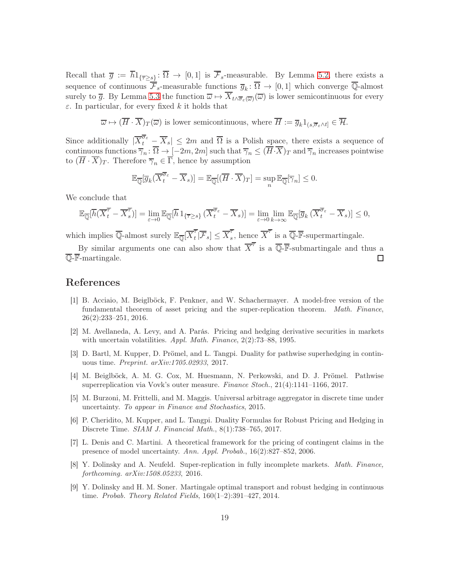Recall that  $\bar{g} := h1_{\{\bar{\tau} \geq s\}} \colon \Omega \to [0,1]$  is  $\mathcal{F}_s$ -measurable. By Lemma [5.2,](#page-16-2) there exists a sequence of continuous  $\overline{\mathcal{F}}_s$ -measurable functions  $\overline{g}_k: \overline{\Omega} \to [0,1]$  which converge Q-almost surely to  $\overline{g}$ . By Lemma [5.3](#page-17-1) the function  $\overline{\omega} \mapsto X_{t \wedge \overline{\sigma}_{\varepsilon}(\overline{\omega})}(\overline{\omega})$  is lower semicontinuous for every  $\varepsilon$ . In particular, for every fixed k it holds that

$$
\overline{\omega} \mapsto (\overline{H} \cdot \overline{X})_T(\overline{\omega})
$$
 is lower semicontinuous, where  $\overline{H} := \overline{g}_k 1_{(s, \overline{\sigma}_{\varepsilon} \wedge t]} \in \overline{\mathcal{H}}$ .

Since additionally  $|\overline{X}_t^{\overline{\sigma}_\varepsilon} - \overline{X}_s| \leq 2m$  and  $\overline{\Omega}$  is a Polish space, there exists a sequence of continuous functions  $\overline{\gamma}_n : \overline{\Omega} \to [-2m, 2m]$  such that  $\overline{\gamma}_n \leq (\overline{H} \cdot \overline{X})_T$  and  $\overline{\gamma}_n$  increases pointwise to  $(\overline{H} \cdot \overline{X})_T$ . Therefore  $\overline{\gamma}_n \in \overline{\Gamma}$ , hence by assumption

$$
\mathbb{E}_{\overline{\mathbb{Q}}}[\overline{g}_k(\overline{X}_t^{\overline{\sigma}_{\varepsilon}} - \overline{X}_s)] = \mathbb{E}_{\overline{\mathbb{Q}}}[(\overline{H} \cdot \overline{X})_T] = \sup_n \mathbb{E}_{\overline{\mathbb{Q}}}[\overline{\gamma}_n] \leq 0.
$$

We conclude that

$$
\mathbb{E}_{\overline{\mathbb{Q}}}[\overline{h}(\overline{X}_t^{\overline{\tau}} - \overline{X}_s^{\overline{\tau}})] = \lim_{\varepsilon \to 0} \mathbb{E}_{\overline{\mathbb{Q}}}[\overline{h} \, 1_{\{\overline{\tau} \ge s\}} (\overline{X}_t^{\overline{\sigma}_\varepsilon} - \overline{X}_s)] = \lim_{\varepsilon \to 0} \lim_{k \to \infty} \mathbb{E}_{\overline{\mathbb{Q}}}[\overline{g}_k (\overline{X}_t^{\overline{\sigma}_\varepsilon} - \overline{X}_s)] \le 0,
$$

which implies  $\overline{\mathbb{Q}}$ -almost surely  $\mathbb{E}_{\overline{\mathbb{Q}}}[\overline{X}_t^{\overline{\tau}}]$  $\overline{\overline{\mathcal{F}}}_t[\overline{\mathcal{F}}_s] \leq \overline{X}_s^{\overline{\tau}}$  $\overline{s}$ , hence  $\overline{X}^{\overline{\tau}}$  is a  $\overline{\mathbb{Q}}$ -**F**-supermartingale.

By similar arguments one can also show that  $\overline{X}^{\overline{\tau}}$  is a  $\overline{\mathbb{Q}}$ -**F**-submartingale and thus a  $\overline{\mathbb{Q}}$ -**F**-martingale. П

#### <span id="page-19-2"></span>References

- [1] B. Acciaio, M. Beiglböck, F. Penkner, and W. Schachermayer. A model-free version of the fundamental theorem of asset pricing and the super-replication theorem. Math. Finance, 26(2):233–251, 2016.
- <span id="page-19-0"></span>[2] M. Avellaneda, A. Levy, and A. Parás. Pricing and hedging derivative securities in markets with uncertain volatilities. Appl. Math. Finance, 2(2):73–88, 1995.
- <span id="page-19-3"></span>[3] D. Bartl, M. Kupper, D. Prömel, and L. Tangpi. Duality for pathwise superhedging in continuous time. Preprint. arXiv:1705.02933, 2017.
- <span id="page-19-7"></span>[4] M. Beiglböck, A. M. G. Cox, M. Huesmann, N. Perkowski, and D. J. Prömel. Pathwise superreplication via Vovk's outer measure. Finance Stoch., 21(4):1141–1166, 2017.
- <span id="page-19-4"></span>[5] M. Burzoni, M. Frittelli, and M. Maggis. Universal arbitrage aggregator in discrete time under uncertainty. To appear in Finance and Stochastics, 2015.
- <span id="page-19-8"></span>[6] P. Cheridito, M. Kupper, and L. Tangpi. Duality Formulas for Robust Pricing and Hedging in Discrete Time. SIAM J. Financial Math., 8(1):738–765, 2017.
- <span id="page-19-1"></span>[7] L. Denis and C. Martini. A theoretical framework for the pricing of contingent claims in the presence of model uncertainty. Ann. Appl. Probab., 16(2):827–852, 2006.
- <span id="page-19-6"></span>[8] Y. Dolinsky and A. Neufeld. Super-replication in fully incomplete markets. Math. Finance, forthcoming. arXiv:1508.05233, 2016.
- <span id="page-19-5"></span>[9] Y. Dolinsky and H. M. Soner. Martingale optimal transport and robust hedging in continuous time. Probab. Theory Related Fields, 160(1–2):391–427, 2014.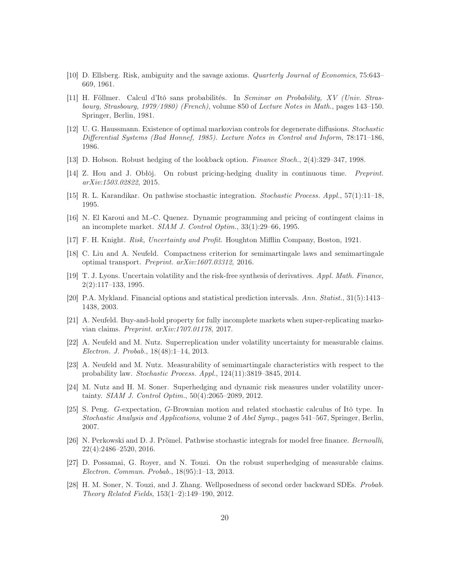- <span id="page-20-2"></span>[10] D. Ellsberg. Risk, ambiguity and the savage axioms. Quarterly Journal of Economics, 75:643– 669, 1961.
- <span id="page-20-18"></span>[11] H. Föllmer. Calcul d'Itô sans probabilités. In Seminar on Probability, XV (Univ. Strasbourg, Strasbourg, 1979/1980) (French), volume 850 of Lecture Notes in Math., pages 143–150. Springer, Berlin, 1981.
- <span id="page-20-13"></span>[12] U. G. Haussmann. Existence of optimal markovian controls for degenerate diffusions. Stochastic Differential Systems (Bad Honnef, 1985). Lecture Notes in Control and Inform, 78:171–186, 1986.
- <span id="page-20-10"></span><span id="page-20-7"></span>[13] D. Hobson. Robust hedging of the lookback option. Finance Stoch., 2(4):329–347, 1998.
- [14] Z. Hou and J. Obłój. On robust pricing-hedging duality in continuous time. Preprint. arXiv:1503.02822, 2015.
- <span id="page-20-16"></span><span id="page-20-0"></span>[15] R. L. Karandikar. On pathwise stochastic integration. Stochastic Process. Appl., 57(1):11–18, 1995.
- [16] N. El Karoui and M.-C. Quenez. Dynamic programming and pricing of contingent claims in an incomplete market. SIAM J. Control Optim., 33(1):29–66, 1995.
- <span id="page-20-14"></span><span id="page-20-1"></span>[17] F. H. Knight. Risk, Uncertainty and Profit. Houghton Mifflin Company, Boston, 1921.
- [18] C. Liu and A. Neufeld. Compactness criterion for semimartingale laws and semimartingale optimal transport. Preprint. arXiv:1607.03312, 2016.
- <span id="page-20-3"></span>[19] T. J. Lyons. Uncertain volatility and the risk-free synthesis of derivatives. Appl. Math. Finance, 2(2):117–133, 1995.
- <span id="page-20-9"></span>[20] P.A. Mykland. Financial options and statistical prediction intervals. Ann. Statist., 31(5):1413– 1438, 2003.
- <span id="page-20-8"></span>[21] A. Neufeld. Buy-and-hold property for fully incomplete markets when super-replicating markovian claims. Preprint. arXiv:1707.01178, 2017.
- <span id="page-20-5"></span>[22] A. Neufeld and M. Nutz. Superreplication under volatility uncertainty for measurable claims. Electron. J. Probab., 18(48):1–14, 2013.
- <span id="page-20-15"></span>[23] A. Neufeld and M. Nutz. Measurability of semimartingale characteristics with respect to the probability law. Stochastic Process. Appl., 124(11):3819–3845, 2014.
- <span id="page-20-17"></span>[24] M. Nutz and H. M. Soner. Superhedging and dynamic risk measures under volatility uncertainty. SIAM J. Control Optim., 50(4):2065–2089, 2012.
- <span id="page-20-11"></span>[25] S. Peng. G-expectation, G-Brownian motion and related stochastic calculus of Itô type. In Stochastic Analysis and Applications, volume 2 of Abel Symp., pages 541–567, Springer, Berlin, 2007.
- <span id="page-20-12"></span>[26] N. Perkowski and D. J. Prömel. Pathwise stochastic integrals for model free finance. Bernoulli, 22(4):2486–2520, 2016.
- <span id="page-20-6"></span>[27] D. Possamai, G. Royer, and N. Touzi. On the robust superhedging of measurable claims. Electron. Commun. Probab., 18(95):1–13, 2013.
- <span id="page-20-4"></span>[28] H. M. Soner, N. Touzi, and J. Zhang. Wellposedness of second order backward SDEs. Probab. Theory Related Fields, 153(1–2):149–190, 2012.